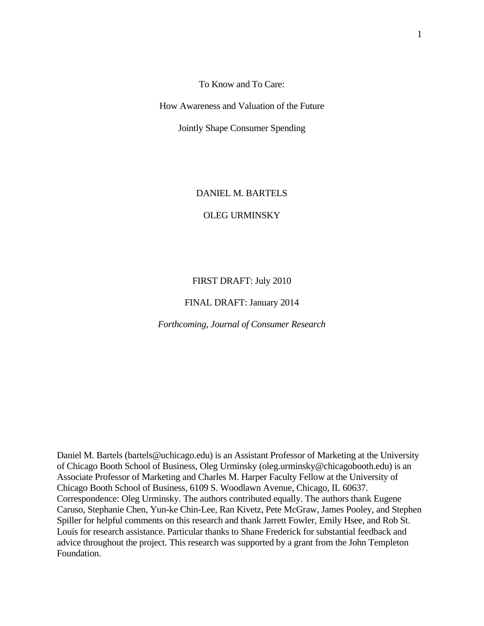To Know and To Care:

How Awareness and Valuation of the Future

Jointly Shape Consumer Spending

### DANIEL M. BARTELS

## OLEG URMINSKY

#### FIRST DRAFT: July 2010

#### FINAL DRAFT: January 2014

#### *Forthcoming, Journal of Consumer Research*

Daniel M. Bartels (bartels@uchicago.edu) is an Assistant Professor of Marketing at the University of Chicago Booth School of Business, Oleg Urminsky (oleg.urminsky@chicagobooth.edu) is an Associate Professor of Marketing and Charles M. Harper Faculty Fellow at the University of Chicago Booth School of Business, 6109 S. Woodlawn Avenue, Chicago, IL 60637. Correspondence: Oleg Urminsky. The authors contributed equally. The authors thank Eugene Caruso, Stephanie Chen, Yun-ke Chin-Lee, Ran Kivetz, Pete McGraw, James Pooley, and Stephen Spiller for helpful comments on this research and thank Jarrett Fowler, Emily Hsee, and Rob St. Louis for research assistance. Particular thanks to Shane Frederick for substantial feedback and advice throughout the project. This research was supported by a grant from the John Templeton Foundation.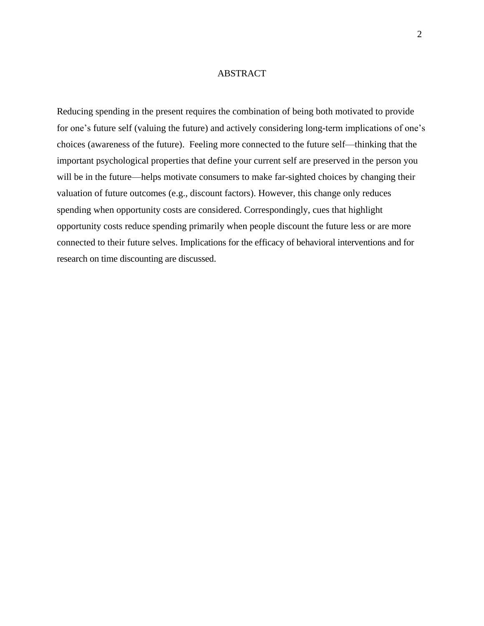#### ABSTRACT

Reducing spending in the present requires the combination of being both motivated to provide for one's future self (valuing the future) and actively considering long-term implications of one's choices (awareness of the future). Feeling more connected to the future self—thinking that the important psychological properties that define your current self are preserved in the person you will be in the future—helps motivate consumers to make far-sighted choices by changing their valuation of future outcomes (e.g., discount factors). However, this change only reduces spending when opportunity costs are considered. Correspondingly, cues that highlight opportunity costs reduce spending primarily when people discount the future less or are more connected to their future selves. Implications for the efficacy of behavioral interventions and for research on time discounting are discussed.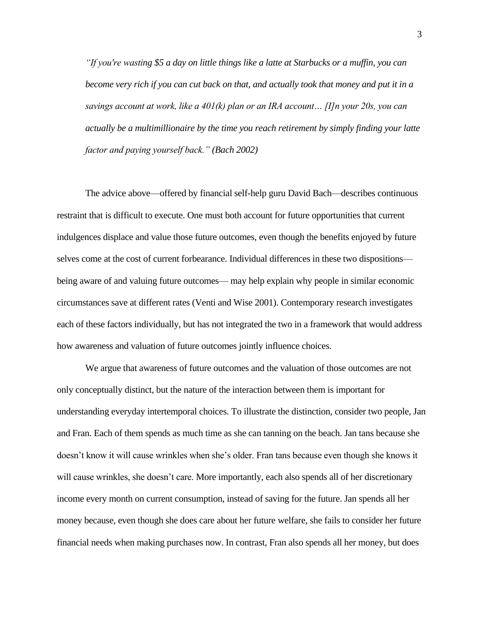*"If you're wasting \$5 a day on little things like a latte at Starbucks or a muffin, you can become very rich if you can cut back on that, and actually took that money and put it in a savings account at work, like a 401(k) plan or an IRA account… [I]n your 20s, you can actually be a multimillionaire by the time you reach retirement by simply finding your latte factor and paying yourself back." (Bach 2002)*

The advice above—offered by financial self-help guru David Bach—describes continuous restraint that is difficult to execute. One must both account for future opportunities that current indulgences displace and value those future outcomes, even though the benefits enjoyed by future selves come at the cost of current forbearance. Individual differences in these two dispositions being aware of and valuing future outcomes— may help explain why people in similar economic circumstances save at different rates (Venti and Wise 2001). Contemporary research investigates each of these factors individually, but has not integrated the two in a framework that would address how awareness and valuation of future outcomes jointly influence choices.

We argue that awareness of future outcomes and the valuation of those outcomes are not only conceptually distinct, but the nature of the interaction between them is important for understanding everyday intertemporal choices. To illustrate the distinction, consider two people, Jan and Fran. Each of them spends as much time as she can tanning on the beach. Jan tans because she doesn't know it will cause wrinkles when she's older. Fran tans because even though she knows it will cause wrinkles, she doesn't care. More importantly, each also spends all of her discretionary income every month on current consumption, instead of saving for the future. Jan spends all her money because, even though she does care about her future welfare, she fails to consider her future financial needs when making purchases now. In contrast, Fran also spends all her money, but does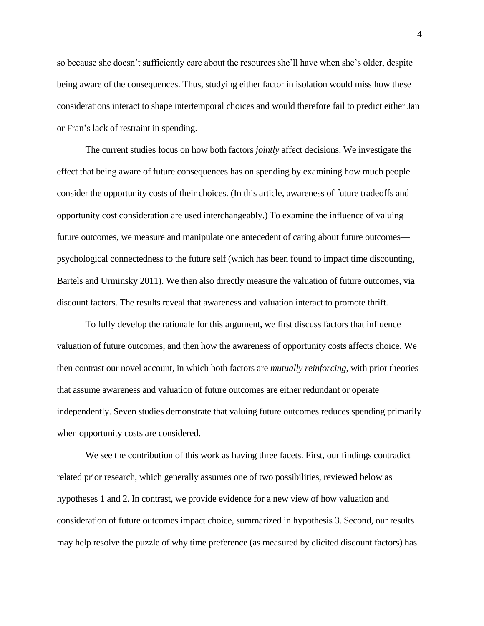so because she doesn't sufficiently care about the resources she'll have when she's older, despite being aware of the consequences. Thus, studying either factor in isolation would miss how these considerations interact to shape intertemporal choices and would therefore fail to predict either Jan or Fran's lack of restraint in spending.

The current studies focus on how both factors *jointly* affect decisions. We investigate the effect that being aware of future consequences has on spending by examining how much people consider the opportunity costs of their choices. (In this article, awareness of future tradeoffs and opportunity cost consideration are used interchangeably.) To examine the influence of valuing future outcomes, we measure and manipulate one antecedent of caring about future outcomes psychological connectedness to the future self (which has been found to impact time discounting, Bartels and Urminsky 2011). We then also directly measure the valuation of future outcomes, via discount factors. The results reveal that awareness and valuation interact to promote thrift.

To fully develop the rationale for this argument, we first discuss factors that influence valuation of future outcomes, and then how the awareness of opportunity costs affects choice. We then contrast our novel account, in which both factors are *mutually reinforcing*, with prior theories that assume awareness and valuation of future outcomes are either redundant or operate independently. Seven studies demonstrate that valuing future outcomes reduces spending primarily when opportunity costs are considered.

We see the contribution of this work as having three facets. First, our findings contradict related prior research, which generally assumes one of two possibilities, reviewed below as hypotheses 1 and 2. In contrast, we provide evidence for a new view of how valuation and consideration of future outcomes impact choice, summarized in hypothesis 3. Second, our results may help resolve the puzzle of why time preference (as measured by elicited discount factors) has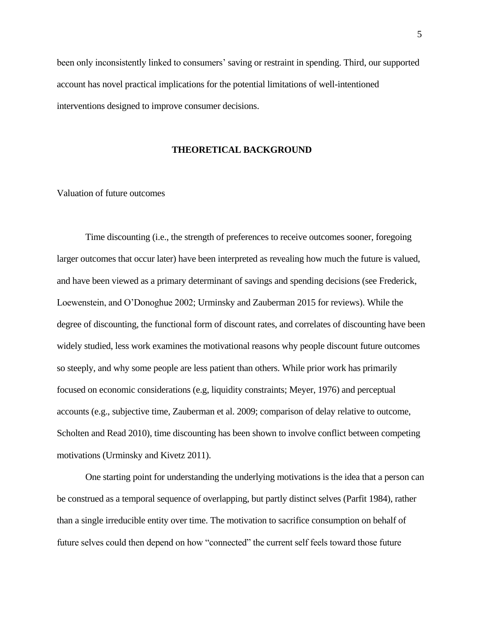been only inconsistently linked to consumers' saving or restraint in spending. Third, our supported account has novel practical implications for the potential limitations of well-intentioned interventions designed to improve consumer decisions.

### **THEORETICAL BACKGROUND**

## Valuation of future outcomes

Time discounting (i.e., the strength of preferences to receive outcomes sooner, foregoing larger outcomes that occur later) have been interpreted as revealing how much the future is valued, and have been viewed as a primary determinant of savings and spending decisions (see Frederick, Loewenstein, and O'Donoghue 2002; Urminsky and Zauberman 2015 for reviews). While the degree of discounting, the functional form of discount rates, and correlates of discounting have been widely studied, less work examines the motivational reasons why people discount future outcomes so steeply, and why some people are less patient than others. While prior work has primarily focused on economic considerations (e.g, liquidity constraints; Meyer, 1976) and perceptual accounts (e.g., subjective time, Zauberman et al. 2009; comparison of delay relative to outcome, Scholten and Read 2010), time discounting has been shown to involve conflict between competing motivations (Urminsky and Kivetz 2011).

One starting point for understanding the underlying motivations is the idea that a person can be construed as a temporal sequence of overlapping, but partly distinct selves (Parfit 1984), rather than a single irreducible entity over time. The motivation to sacrifice consumption on behalf of future selves could then depend on how "connected" the current self feels toward those future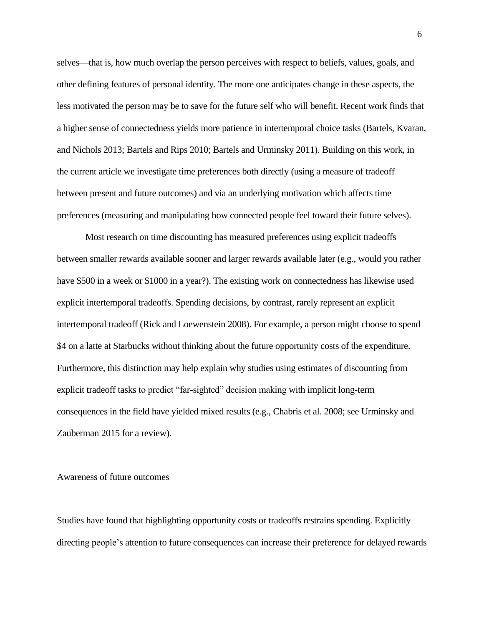selves—that is, how much overlap the person perceives with respect to beliefs, values, goals, and other defining features of personal identity. The more one anticipates change in these aspects, the less motivated the person may be to save for the future self who will benefit. Recent work finds that a higher sense of connectedness yields more patience in intertemporal choice tasks (Bartels, Kvaran, and Nichols 2013; Bartels and Rips 2010; Bartels and Urminsky 2011). Building on this work, in the current article we investigate time preferences both directly (using a measure of tradeoff between present and future outcomes) and via an underlying motivation which affects time preferences (measuring and manipulating how connected people feel toward their future selves).

Most research on time discounting has measured preferences using explicit tradeoffs between smaller rewards available sooner and larger rewards available later (e.g., would you rather have \$500 in a week or \$1000 in a year?). The existing work on connectedness has likewise used explicit intertemporal tradeoffs. Spending decisions, by contrast, rarely represent an explicit intertemporal tradeoff (Rick and Loewenstein 2008). For example, a person might choose to spend \$4 on a latte at Starbucks without thinking about the future opportunity costs of the expenditure. Furthermore, this distinction may help explain why studies using estimates of discounting from explicit tradeoff tasks to predict "far-sighted" decision making with implicit long-term consequences in the field have yielded mixed results (e.g., Chabris et al. 2008; see Urminsky and Zauberman 2015 for a review).

### Awareness of future outcomes

Studies have found that highlighting opportunity costs or tradeoffs restrains spending. Explicitly directing people's attention to future consequences can increase their preference for delayed rewards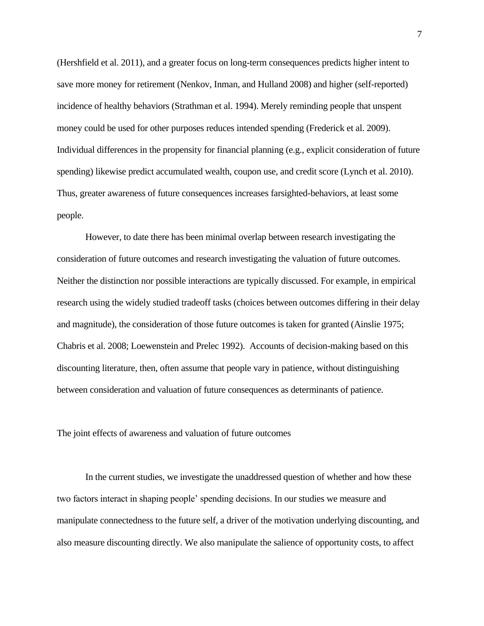(Hershfield et al. 2011), and a greater focus on long-term consequences predicts higher intent to save more money for retirement (Nenkov, Inman, and Hulland 2008) and higher (self-reported) incidence of healthy behaviors (Strathman et al. 1994). Merely reminding people that unspent money could be used for other purposes reduces intended spending (Frederick et al. 2009). Individual differences in the propensity for financial planning (e.g., explicit consideration of future spending) likewise predict accumulated wealth, coupon use, and credit score (Lynch et al. 2010). Thus, greater awareness of future consequences increases farsighted-behaviors, at least some people.

However, to date there has been minimal overlap between research investigating the consideration of future outcomes and research investigating the valuation of future outcomes. Neither the distinction nor possible interactions are typically discussed. For example, in empirical research using the widely studied tradeoff tasks (choices between outcomes differing in their delay and magnitude), the consideration of those future outcomes is taken for granted (Ainslie 1975; Chabris et al. 2008; Loewenstein and Prelec 1992). Accounts of decision-making based on this discounting literature, then, often assume that people vary in patience, without distinguishing between consideration and valuation of future consequences as determinants of patience.

The joint effects of awareness and valuation of future outcomes

In the current studies, we investigate the unaddressed question of whether and how these two factors interact in shaping people' spending decisions. In our studies we measure and manipulate connectedness to the future self, a driver of the motivation underlying discounting, and also measure discounting directly. We also manipulate the salience of opportunity costs, to affect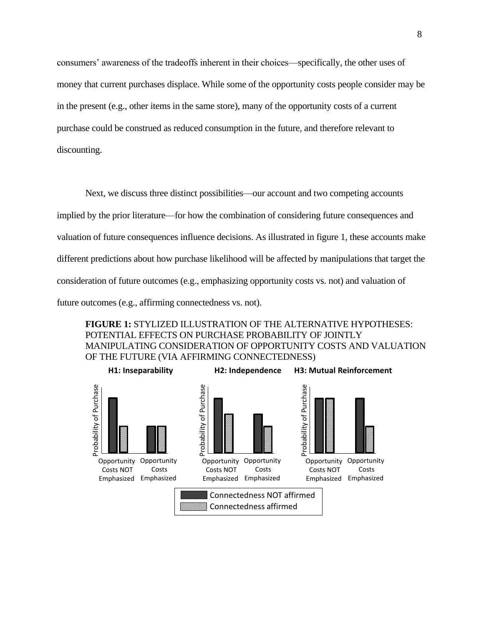consumers' awareness of the tradeoffs inherent in their choices—specifically, the other uses of money that current purchases displace. While some of the opportunity costs people consider may be in the present (e.g., other items in the same store), many of the opportunity costs of a current purchase could be construed as reduced consumption in the future, and therefore relevant to discounting.

Next, we discuss three distinct possibilities—our account and two competing accounts implied by the prior literature—for how the combination of considering future consequences and valuation of future consequences influence decisions. As illustrated in figure 1, these accounts make different predictions about how purchase likelihood will be affected by manipulations that target the consideration of future outcomes (e.g., emphasizing opportunity costs vs. not) and valuation of future outcomes (e.g., affirming connectedness vs. not).

**FIGURE 1:** STYLIZED ILLUSTRATION OF THE ALTERNATIVE HYPOTHESES: POTENTIAL EFFECTS ON PURCHASE PROBABILITY OF JOINTLY MANIPULATING CONSIDERATION OF OPPORTUNITY COSTS AND VALUATION OF THE FUTURE (VIA AFFIRMING CONNECTEDNESS)

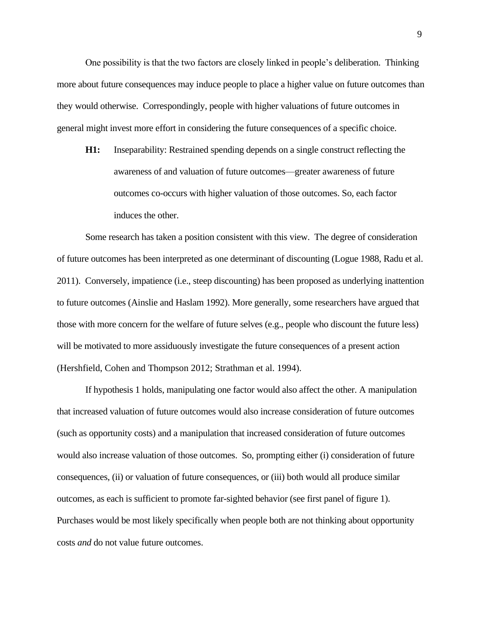One possibility is that the two factors are closely linked in people's deliberation. Thinking more about future consequences may induce people to place a higher value on future outcomes than they would otherwise. Correspondingly, people with higher valuations of future outcomes in general might invest more effort in considering the future consequences of a specific choice.

**H1:** Inseparability: Restrained spending depends on a single construct reflecting the awareness of and valuation of future outcomes—greater awareness of future outcomes co-occurs with higher valuation of those outcomes. So, each factor induces the other.

Some research has taken a position consistent with this view. The degree of consideration of future outcomes has been interpreted as one determinant of discounting (Logue 1988, Radu et al. 2011). Conversely, impatience (i.e., steep discounting) has been proposed as underlying inattention to future outcomes (Ainslie and Haslam 1992). More generally, some researchers have argued that those with more concern for the welfare of future selves (e.g., people who discount the future less) will be motivated to more assiduously investigate the future consequences of a present action (Hershfield, Cohen and Thompson 2012; Strathman et al. 1994).

If hypothesis 1 holds, manipulating one factor would also affect the other. A manipulation that increased valuation of future outcomes would also increase consideration of future outcomes (such as opportunity costs) and a manipulation that increased consideration of future outcomes would also increase valuation of those outcomes. So, prompting either (i) consideration of future consequences, (ii) or valuation of future consequences, or (iii) both would all produce similar outcomes, as each is sufficient to promote far-sighted behavior (see first panel of figure 1). Purchases would be most likely specifically when people both are not thinking about opportunity costs *and* do not value future outcomes.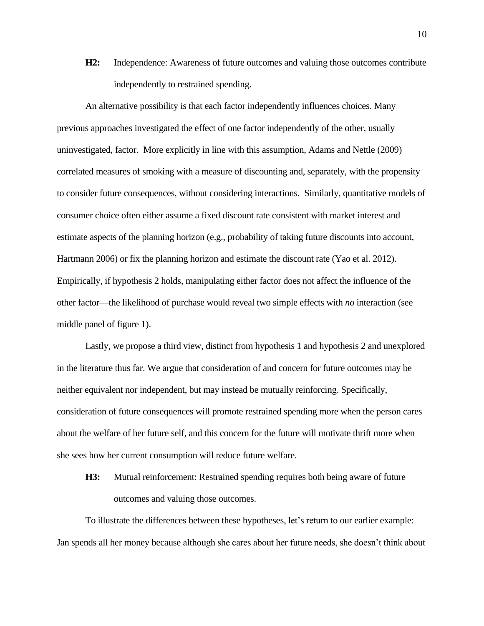**H2:** Independence: Awareness of future outcomes and valuing those outcomes contribute independently to restrained spending.

An alternative possibility is that each factor independently influences choices. Many previous approaches investigated the effect of one factor independently of the other, usually uninvestigated, factor. More explicitly in line with this assumption, Adams and Nettle (2009) correlated measures of smoking with a measure of discounting and, separately, with the propensity to consider future consequences, without considering interactions. Similarly, quantitative models of consumer choice often either assume a fixed discount rate consistent with market interest and estimate aspects of the planning horizon (e.g., probability of taking future discounts into account, Hartmann 2006) or fix the planning horizon and estimate the discount rate (Yao et al. 2012). Empirically, if hypothesis 2 holds, manipulating either factor does not affect the influence of the other factor—the likelihood of purchase would reveal two simple effects with *no* interaction (see middle panel of figure 1).

Lastly, we propose a third view, distinct from hypothesis 1 and hypothesis 2 and unexplored in the literature thus far. We argue that consideration of and concern for future outcomes may be neither equivalent nor independent, but may instead be mutually reinforcing. Specifically, consideration of future consequences will promote restrained spending more when the person cares about the welfare of her future self, and this concern for the future will motivate thrift more when she sees how her current consumption will reduce future welfare.

**H3:** Mutual reinforcement: Restrained spending requires both being aware of future outcomes and valuing those outcomes.

To illustrate the differences between these hypotheses, let's return to our earlier example: Jan spends all her money because although she cares about her future needs, she doesn't think about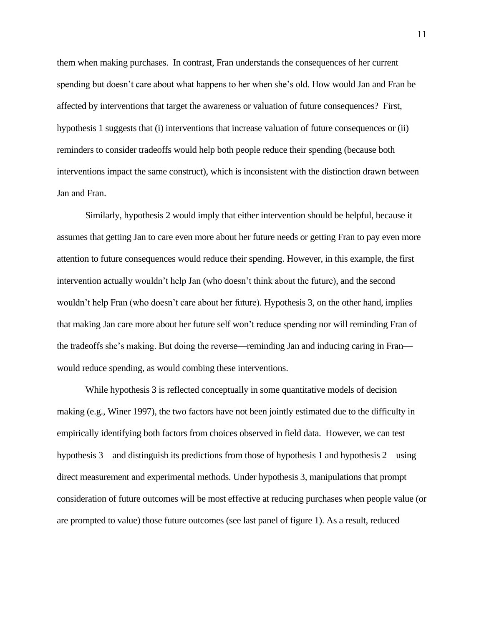them when making purchases. In contrast, Fran understands the consequences of her current spending but doesn't care about what happens to her when she's old. How would Jan and Fran be affected by interventions that target the awareness or valuation of future consequences? First, hypothesis 1 suggests that (i) interventions that increase valuation of future consequences or (ii) reminders to consider tradeoffs would help both people reduce their spending (because both interventions impact the same construct), which is inconsistent with the distinction drawn between Jan and Fran.

Similarly, hypothesis 2 would imply that either intervention should be helpful, because it assumes that getting Jan to care even more about her future needs or getting Fran to pay even more attention to future consequences would reduce their spending. However, in this example, the first intervention actually wouldn't help Jan (who doesn't think about the future), and the second wouldn't help Fran (who doesn't care about her future). Hypothesis 3, on the other hand, implies that making Jan care more about her future self won't reduce spending nor will reminding Fran of the tradeoffs she's making. But doing the reverse—reminding Jan and inducing caring in Fran would reduce spending, as would combing these interventions.

While hypothesis 3 is reflected conceptually in some quantitative models of decision making (e.g., Winer 1997), the two factors have not been jointly estimated due to the difficulty in empirically identifying both factors from choices observed in field data. However, we can test hypothesis 3—and distinguish its predictions from those of hypothesis 1 and hypothesis 2—using direct measurement and experimental methods. Under hypothesis 3, manipulations that prompt consideration of future outcomes will be most effective at reducing purchases when people value (or are prompted to value) those future outcomes (see last panel of figure 1). As a result, reduced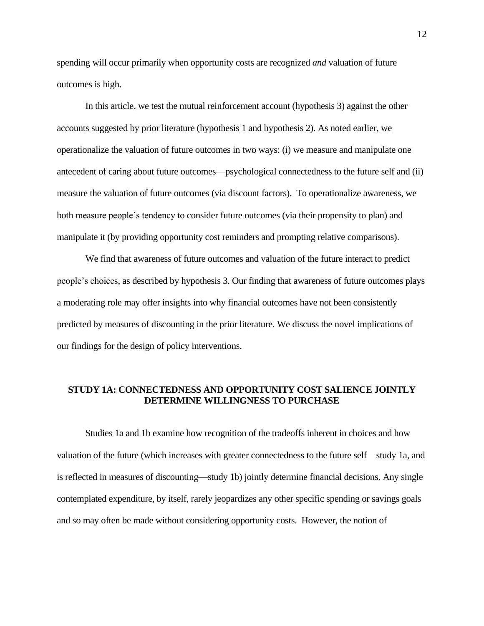spending will occur primarily when opportunity costs are recognized *and* valuation of future outcomes is high.

In this article, we test the mutual reinforcement account (hypothesis 3) against the other accounts suggested by prior literature (hypothesis 1 and hypothesis 2). As noted earlier, we operationalize the valuation of future outcomes in two ways: (i) we measure and manipulate one antecedent of caring about future outcomes—psychological connectedness to the future self and (ii) measure the valuation of future outcomes (via discount factors). To operationalize awareness, we both measure people's tendency to consider future outcomes (via their propensity to plan) and manipulate it (by providing opportunity cost reminders and prompting relative comparisons).

We find that awareness of future outcomes and valuation of the future interact to predict people's choices, as described by hypothesis 3. Our finding that awareness of future outcomes plays a moderating role may offer insights into why financial outcomes have not been consistently predicted by measures of discounting in the prior literature. We discuss the novel implications of our findings for the design of policy interventions.

## **STUDY 1A: CONNECTEDNESS AND OPPORTUNITY COST SALIENCE JOINTLY DETERMINE WILLINGNESS TO PURCHASE**

Studies 1a and 1b examine how recognition of the tradeoffs inherent in choices and how valuation of the future (which increases with greater connectedness to the future self—study 1a, and is reflected in measures of discounting—study 1b) jointly determine financial decisions. Any single contemplated expenditure, by itself, rarely jeopardizes any other specific spending or savings goals and so may often be made without considering opportunity costs. However, the notion of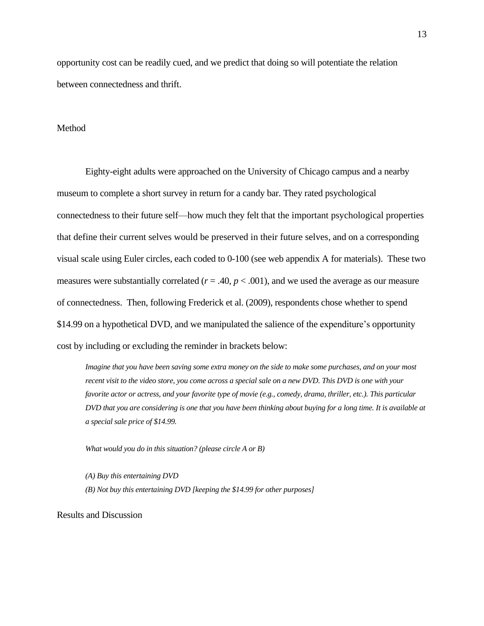opportunity cost can be readily cued, and we predict that doing so will potentiate the relation between connectedness and thrift.

#### Method

Eighty-eight adults were approached on the University of Chicago campus and a nearby museum to complete a short survey in return for a candy bar. They rated psychological connectedness to their future self—how much they felt that the important psychological properties that define their current selves would be preserved in their future selves, and on a corresponding visual scale using Euler circles, each coded to 0-100 (see web appendix A for materials). These two measures were substantially correlated  $(r = .40, p < .001)$ , and we used the average as our measure of connectedness. Then, following Frederick et al. (2009), respondents chose whether to spend \$14.99 on a hypothetical DVD, and we manipulated the salience of the expenditure's opportunity cost by including or excluding the reminder in brackets below:

*Imagine that you have been saving some extra money on the side to make some purchases, and on your most recent visit to the video store, you come across a special sale on a new DVD. This DVD is one with your favorite actor or actress, and your favorite type of movie (e.g., comedy, drama, thriller, etc.). This particular DVD that you are considering is one that you have been thinking about buying for a long time. It is available at a special sale price of \$14.99.*

*What would you do in this situation? (please circle A or B)*

*(A) Buy this entertaining DVD (B) Not buy this entertaining DVD [keeping the \$14.99 for other purposes]*

Results and Discussion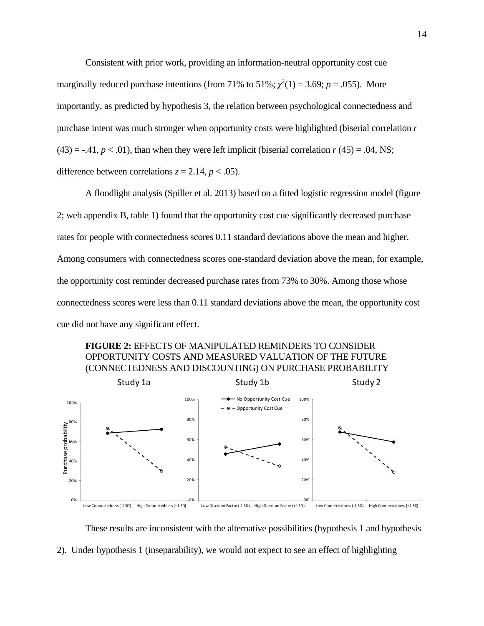Consistent with prior work, providing an information-neutral opportunity cost cue marginally reduced purchase intentions (from 71% to 51%;  $\chi^2(1) = 3.69$ ;  $p = .055$ ). More importantly, as predicted by hypothesis 3, the relation between psychological connectedness and purchase intent was much stronger when opportunity costs were highlighted (biserial correlation *r*   $(43) = -0.41$ ,  $p < 0.01$ ), than when they were left implicit (biserial correlation  $r(45) = 0.04$ , NS; difference between correlations  $z = 2.14$ ,  $p < .05$ ).

A floodlight analysis (Spiller et al. 2013) based on a fitted logistic regression model (figure 2; web appendix B, table 1) found that the opportunity cost cue significantly decreased purchase rates for people with connectedness scores 0.11 standard deviations above the mean and higher. Among consumers with connectedness scores one-standard deviation above the mean, for example, the opportunity cost reminder decreased purchase rates from 73% to 30%. Among those whose connectedness scores were less than 0.11 standard deviations above the mean, the opportunity cost cue did not have any significant effect.





These results are inconsistent with the alternative possibilities (hypothesis 1 and hypothesis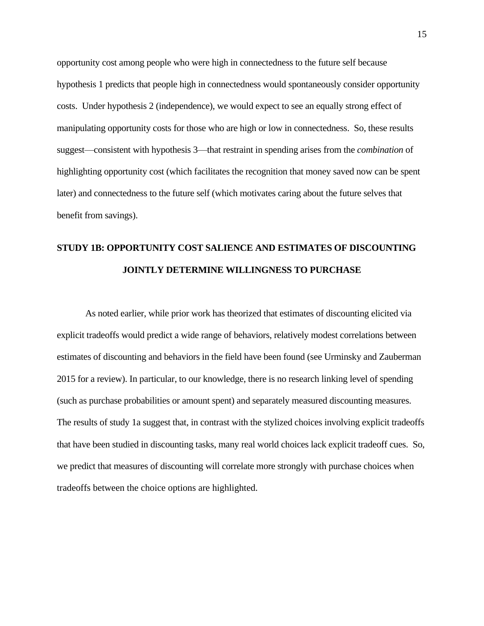opportunity cost among people who were high in connectedness to the future self because hypothesis 1 predicts that people high in connectedness would spontaneously consider opportunity costs. Under hypothesis 2 (independence), we would expect to see an equally strong effect of manipulating opportunity costs for those who are high or low in connectedness. So, these results suggest—consistent with hypothesis 3—that restraint in spending arises from the *combination* of highlighting opportunity cost (which facilitates the recognition that money saved now can be spent later) and connectedness to the future self (which motivates caring about the future selves that benefit from savings).

## **STUDY 1B: OPPORTUNITY COST SALIENCE AND ESTIMATES OF DISCOUNTING JOINTLY DETERMINE WILLINGNESS TO PURCHASE**

As noted earlier, while prior work has theorized that estimates of discounting elicited via explicit tradeoffs would predict a wide range of behaviors, relatively modest correlations between estimates of discounting and behaviors in the field have been found (see Urminsky and Zauberman 2015 for a review). In particular, to our knowledge, there is no research linking level of spending (such as purchase probabilities or amount spent) and separately measured discounting measures. The results of study 1a suggest that, in contrast with the stylized choices involving explicit tradeoffs that have been studied in discounting tasks, many real world choices lack explicit tradeoff cues. So, we predict that measures of discounting will correlate more strongly with purchase choices when tradeoffs between the choice options are highlighted.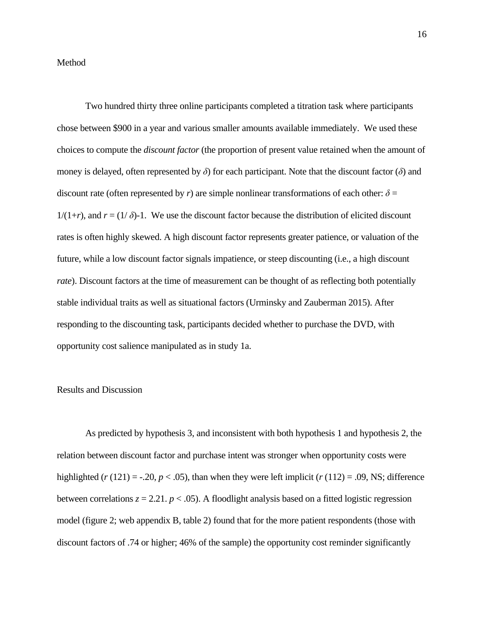#### Method

Two hundred thirty three online participants completed a titration task where participants chose between \$900 in a year and various smaller amounts available immediately. We used these choices to compute the *discount factor* (the proportion of present value retained when the amount of money is delayed, often represented by *δ*) for each participant. Note that the discount factor (*δ*) and discount rate (often represented by *r*) are simple nonlinear transformations of each other:  $\delta$  =  $1/(1+r)$ , and  $r = (1/\delta)$ -1. We use the discount factor because the distribution of elicited discount rates is often highly skewed. A high discount factor represents greater patience, or valuation of the future, while a low discount factor signals impatience, or steep discounting (i.e., a high discount *rate*). Discount factors at the time of measurement can be thought of as reflecting both potentially stable individual traits as well as situational factors (Urminsky and Zauberman 2015). After responding to the discounting task, participants decided whether to purchase the DVD, with opportunity cost salience manipulated as in study 1a.

#### Results and Discussion

As predicted by hypothesis 3, and inconsistent with both hypothesis 1 and hypothesis 2, the relation between discount factor and purchase intent was stronger when opportunity costs were highlighted ( $r(121) = -.20, p < .05$ ), than when they were left implicit ( $r(112) = .09$ , NS; difference between correlations  $z = 2.21$ .  $p < .05$ ). A floodlight analysis based on a fitted logistic regression model (figure 2; web appendix B, table 2) found that for the more patient respondents (those with discount factors of .74 or higher; 46% of the sample) the opportunity cost reminder significantly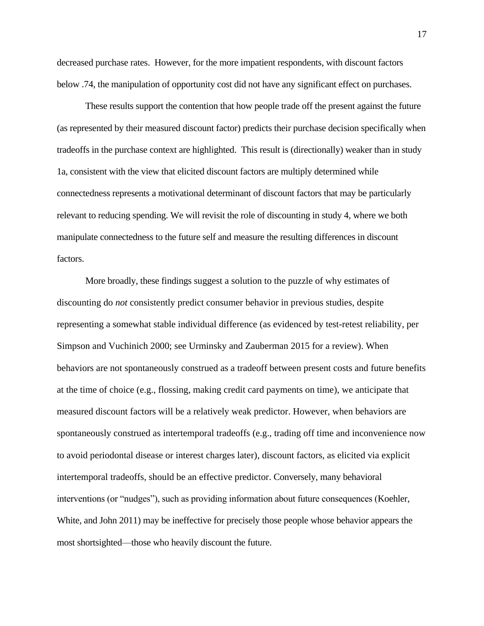decreased purchase rates. However, for the more impatient respondents, with discount factors below .74, the manipulation of opportunity cost did not have any significant effect on purchases.

These results support the contention that how people trade off the present against the future (as represented by their measured discount factor) predicts their purchase decision specifically when tradeoffs in the purchase context are highlighted. This result is (directionally) weaker than in study 1a, consistent with the view that elicited discount factors are multiply determined while connectedness represents a motivational determinant of discount factors that may be particularly relevant to reducing spending. We will revisit the role of discounting in study 4, where we both manipulate connectedness to the future self and measure the resulting differences in discount factors.

More broadly, these findings suggest a solution to the puzzle of why estimates of discounting do *not* consistently predict consumer behavior in previous studies, despite representing a somewhat stable individual difference (as evidenced by test-retest reliability, per Simpson and Vuchinich 2000; see Urminsky and Zauberman 2015 for a review). When behaviors are not spontaneously construed as a tradeoff between present costs and future benefits at the time of choice (e.g., flossing, making credit card payments on time), we anticipate that measured discount factors will be a relatively weak predictor. However, when behaviors are spontaneously construed as intertemporal tradeoffs (e.g., trading off time and inconvenience now to avoid periodontal disease or interest charges later), discount factors, as elicited via explicit intertemporal tradeoffs, should be an effective predictor. Conversely, many behavioral interventions (or "nudges"), such as providing information about future consequences (Koehler, White, and John 2011) may be ineffective for precisely those people whose behavior appears the most shortsighted—those who heavily discount the future.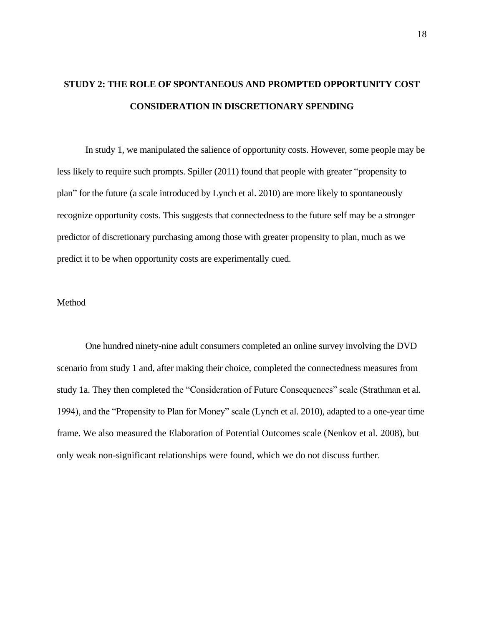## **STUDY 2: THE ROLE OF SPONTANEOUS AND PROMPTED OPPORTUNITY COST CONSIDERATION IN DISCRETIONARY SPENDING**

In study 1, we manipulated the salience of opportunity costs. However, some people may be less likely to require such prompts. Spiller (2011) found that people with greater "propensity to plan" for the future (a scale introduced by Lynch et al. 2010) are more likely to spontaneously recognize opportunity costs. This suggests that connectedness to the future self may be a stronger predictor of discretionary purchasing among those with greater propensity to plan, much as we predict it to be when opportunity costs are experimentally cued.

#### Method

One hundred ninety-nine adult consumers completed an online survey involving the DVD scenario from study 1 and, after making their choice, completed the connectedness measures from study 1a. They then completed the "Consideration of Future Consequences" scale (Strathman et al. 1994), and the "Propensity to Plan for Money" scale (Lynch et al. 2010), adapted to a one-year time frame. We also measured the Elaboration of Potential Outcomes scale (Nenkov et al. 2008), but only weak non-significant relationships were found, which we do not discuss further.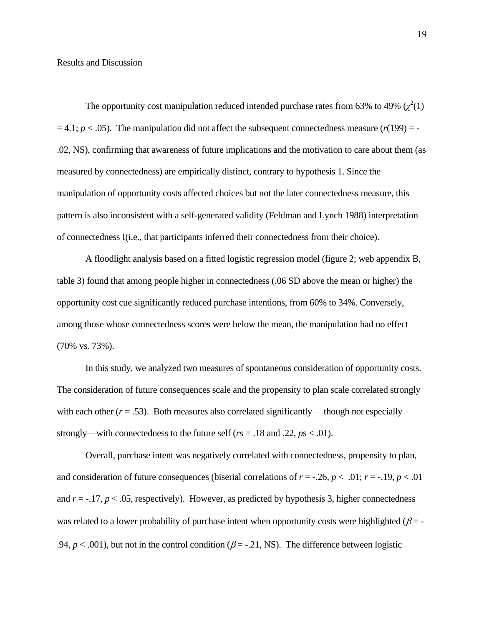#### Results and Discussion

The opportunity cost manipulation reduced intended purchase rates from 63% to 49%  $(\chi^2(1))$  $= 4.1$ ;  $p < .05$ ). The manipulation did not affect the subsequent connectedness measure  $(r(199) = -1)$ .02, NS), confirming that awareness of future implications and the motivation to care about them (as measured by connectedness) are empirically distinct, contrary to hypothesis 1. Since the manipulation of opportunity costs affected choices but not the later connectedness measure, this pattern is also inconsistent with a self-generated validity (Feldman and Lynch 1988) interpretation of connectedness I(i.e., that participants inferred their connectedness from their choice).

A floodlight analysis based on a fitted logistic regression model (figure 2; web appendix B, table 3) found that among people higher in connectedness (.06 SD above the mean or higher) the opportunity cost cue significantly reduced purchase intentions, from 60% to 34%. Conversely, among those whose connectedness scores were below the mean, the manipulation had no effect (70% vs. 73%).

In this study, we analyzed two measures of spontaneous consideration of opportunity costs. The consideration of future consequences scale and the propensity to plan scale correlated strongly with each other  $(r = .53)$ . Both measures also correlated significantly— though not especially strongly—with connectedness to the future self ( $rs = .18$  and .22,  $ps < .01$ ).

Overall, purchase intent was negatively correlated with connectedness, propensity to plan, and consideration of future consequences (biserial correlations of  $r = -0.26$ ,  $p < 0.01$ ;  $r = -0.19$ ,  $p < 0.01$ and  $r = -17$ ,  $p < .05$ , respectively). However, as predicted by hypothesis 3, higher connectedness was related to a lower probability of purchase intent when opportunity costs were highlighted ( $\beta$  = -.94,  $p < .001$ ), but not in the control condition ( $\beta = -.21$ , NS). The difference between logistic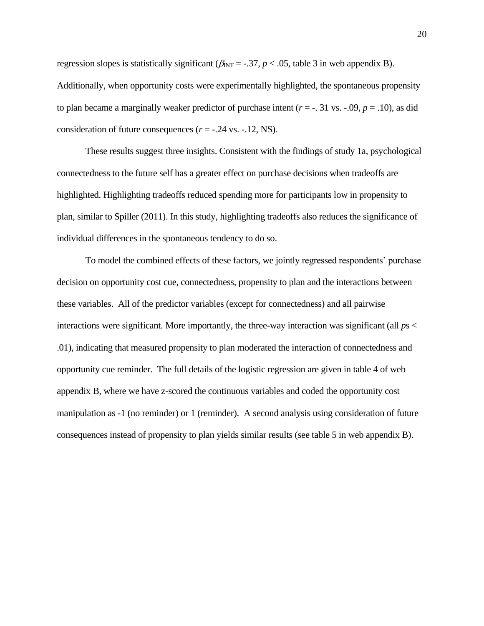regression slopes is statistically significant ( $\beta_{\text{INT}} = -.37$ ,  $p < .05$ , table 3 in web appendix B). Additionally, when opportunity costs were experimentally highlighted, the spontaneous propensity to plan became a marginally weaker predictor of purchase intent  $(r = -1.31 \text{ vs. } -0.09, p = 0.10)$ , as did consideration of future consequences  $(r = -.24 \text{ vs. } -.12, \text{ NS}).$ 

These results suggest three insights. Consistent with the findings of study 1a, psychological connectedness to the future self has a greater effect on purchase decisions when tradeoffs are highlighted. Highlighting tradeoffs reduced spending more for participants low in propensity to plan, similar to Spiller (2011). In this study, highlighting tradeoffs also reduces the significance of individual differences in the spontaneous tendency to do so.

To model the combined effects of these factors, we jointly regressed respondents' purchase decision on opportunity cost cue, connectedness, propensity to plan and the interactions between these variables. All of the predictor variables (except for connectedness) and all pairwise interactions were significant. More importantly, the three-way interaction was significant (all *p*s < .01), indicating that measured propensity to plan moderated the interaction of connectedness and opportunity cue reminder. The full details of the logistic regression are given in table 4 of web appendix B, where we have z-scored the continuous variables and coded the opportunity cost manipulation as -1 (no reminder) or 1 (reminder). A second analysis using consideration of future consequences instead of propensity to plan yields similar results (see table 5 in web appendix B).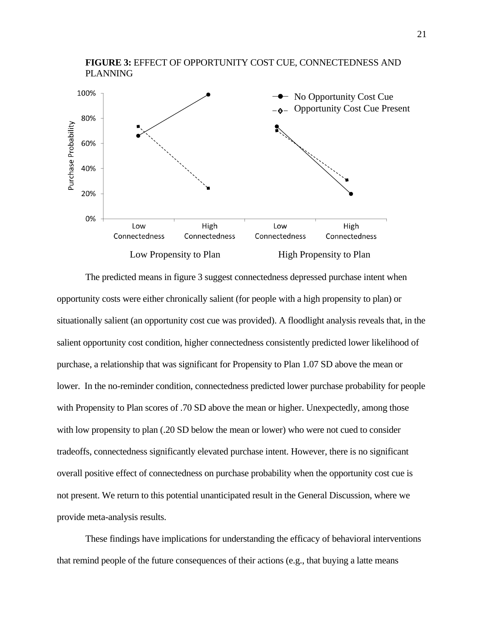

The predicted means in figure 3 suggest connectedness depressed purchase intent when opportunity costs were either chronically salient (for people with a high propensity to plan) or situationally salient (an opportunity cost cue was provided). A floodlight analysis reveals that, in the salient opportunity cost condition, higher connectedness consistently predicted lower likelihood of purchase, a relationship that was significant for Propensity to Plan 1.07 SD above the mean or lower. In the no-reminder condition, connectedness predicted lower purchase probability for people with Propensity to Plan scores of .70 SD above the mean or higher. Unexpectedly, among those with low propensity to plan (.20 SD below the mean or lower) who were not cued to consider tradeoffs, connectedness significantly elevated purchase intent. However, there is no significant overall positive effect of connectedness on purchase probability when the opportunity cost cue is not present. We return to this potential unanticipated result in the General Discussion, where we provide meta-analysis results.

These findings have implications for understanding the efficacy of behavioral interventions that remind people of the future consequences of their actions (e.g., that buying a latte means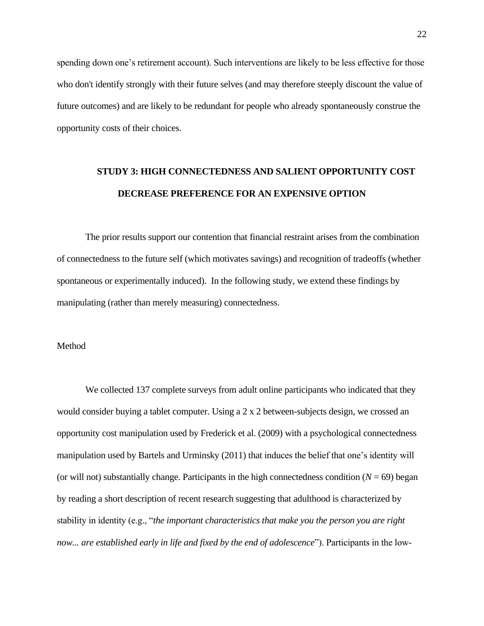spending down one's retirement account). Such interventions are likely to be less effective for those who don't identify strongly with their future selves (and may therefore steeply discount the value of future outcomes) and are likely to be redundant for people who already spontaneously construe the opportunity costs of their choices.

## **STUDY 3: HIGH CONNECTEDNESS AND SALIENT OPPORTUNITY COST DECREASE PREFERENCE FOR AN EXPENSIVE OPTION**

The prior results support our contention that financial restraint arises from the combination of connectedness to the future self (which motivates savings) and recognition of tradeoffs (whether spontaneous or experimentally induced). In the following study, we extend these findings by manipulating (rather than merely measuring) connectedness.

### Method

We collected 137 complete surveys from adult online participants who indicated that they would consider buying a tablet computer. Using a 2 x 2 between-subjects design, we crossed an opportunity cost manipulation used by Frederick et al. (2009) with a psychological connectedness manipulation used by Bartels and Urminsky (2011) that induces the belief that one's identity will (or will not) substantially change. Participants in the high connectedness condition  $(N = 69)$  began by reading a short description of recent research suggesting that adulthood is characterized by stability in identity (e.g., "*the important characteristics that make you the person you are right now... are established early in life and fixed by the end of adolescence*"). Participants in the low-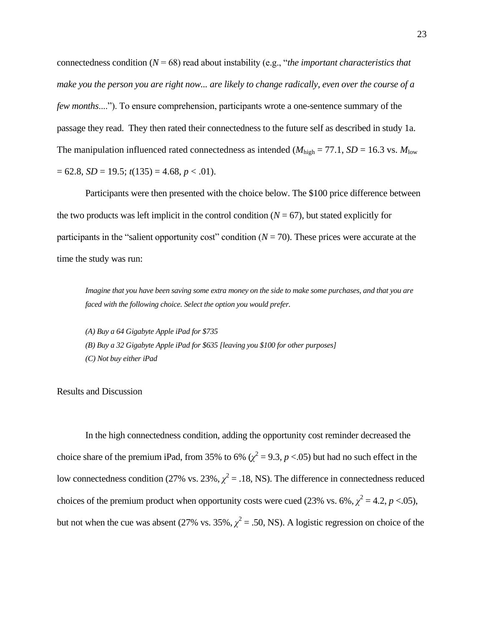connectedness condition (*N* = 68) read about instability (e.g., "*the important characteristics that make you the person you are right now... are likely to change radically, even over the course of a few months*...."). To ensure comprehension, participants wrote a one-sentence summary of the passage they read. They then rated their connectedness to the future self as described in study 1a. The manipulation influenced rated connectedness as intended ( $M_{\text{high}} = 77.1$ ,  $SD = 16.3$  vs.  $M_{\text{low}}$ ) = 62.8, *SD* = 19.5; *t*(135) = 4.68, *p* < .01).

Participants were then presented with the choice below. The \$100 price difference between the two products was left implicit in the control condition  $(N = 67)$ , but stated explicitly for participants in the "salient opportunity cost" condition  $(N = 70)$ . These prices were accurate at the time the study was run:

*Imagine that you have been saving some extra money on the side to make some purchases, and that you are faced with the following choice. Select the option you would prefer.*

*(A) Buy a 64 Gigabyte Apple iPad for \$735 (B) Buy a 32 Gigabyte Apple iPad for \$635 [leaving you \$100 for other purposes] (C) Not buy either iPad*

Results and Discussion

In the high connectedness condition, adding the opportunity cost reminder decreased the choice share of the premium iPad, from 35% to 6% ( $\chi^2$  = 9.3, *p* <.05) but had no such effect in the low connectedness condition (27% vs. 23%,  $\chi^2 = .18$ , NS). The difference in connectedness reduced choices of the premium product when opportunity costs were cued (23% vs. 6%,  $\chi^2 = 4.2$ ,  $p < .05$ ), but not when the cue was absent (27% vs. 35%,  $\chi^2 = .50$ , NS). A logistic regression on choice of the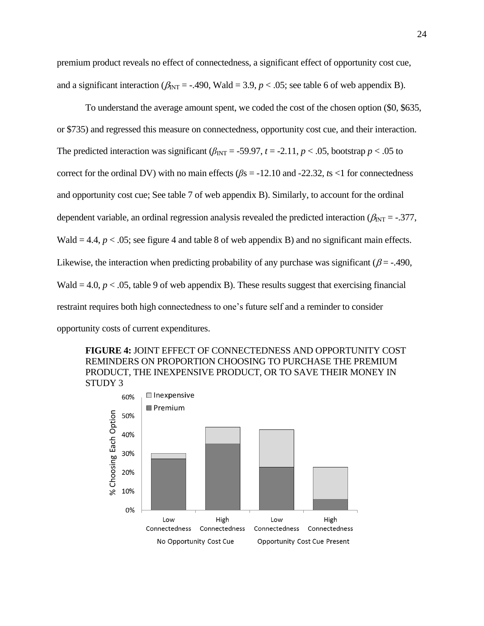premium product reveals no effect of connectedness, a significant effect of opportunity cost cue, and a significant interaction ( $\beta_{\text{INT}}$  = -.490, Wald = 3.9, *p* < .05; see table 6 of web appendix B).

To understand the average amount spent, we coded the cost of the chosen option (\$0, \$635, or \$735) and regressed this measure on connectedness, opportunity cost cue, and their interaction. The predicted interaction was significant  $(\beta_{INT} = -59.97, t = -2.11, p < .05,$  bootstrap  $p < .05$  to correct for the ordinal DV) with no main effects (*β*s = -12.10 and -22.32, *t*s <1 for connectedness and opportunity cost cue; See table 7 of web appendix B). Similarly, to account for the ordinal dependent variable, an ordinal regression analysis revealed the predicted interaction ( $\beta_{\text{INT}} = -.377$ , Wald  $= 4.4$ ,  $p < .05$ ; see figure 4 and table 8 of web appendix B) and no significant main effects. Likewise, the interaction when predicting probability of any purchase was significant ( $\beta$  = -.490, Wald  $= 4.0$ ,  $p < .05$ , table 9 of web appendix B). These results suggest that exercising financial restraint requires both high connectedness to one's future self and a reminder to consider opportunity costs of current expenditures.



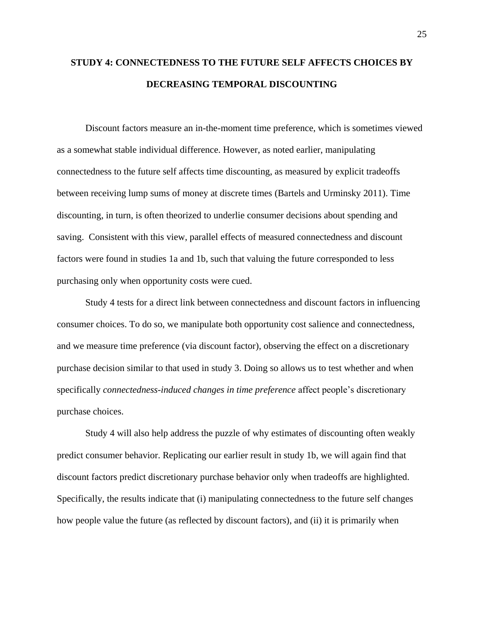## **STUDY 4: CONNECTEDNESS TO THE FUTURE SELF AFFECTS CHOICES BY DECREASING TEMPORAL DISCOUNTING**

Discount factors measure an in-the-moment time preference, which is sometimes viewed as a somewhat stable individual difference. However, as noted earlier, manipulating connectedness to the future self affects time discounting, as measured by explicit tradeoffs between receiving lump sums of money at discrete times (Bartels and Urminsky 2011). Time discounting, in turn, is often theorized to underlie consumer decisions about spending and saving. Consistent with this view, parallel effects of measured connectedness and discount factors were found in studies 1a and 1b, such that valuing the future corresponded to less purchasing only when opportunity costs were cued.

Study 4 tests for a direct link between connectedness and discount factors in influencing consumer choices. To do so, we manipulate both opportunity cost salience and connectedness, and we measure time preference (via discount factor), observing the effect on a discretionary purchase decision similar to that used in study 3. Doing so allows us to test whether and when specifically *connectedness-induced changes in time preference* affect people's discretionary purchase choices.

Study 4 will also help address the puzzle of why estimates of discounting often weakly predict consumer behavior. Replicating our earlier result in study 1b, we will again find that discount factors predict discretionary purchase behavior only when tradeoffs are highlighted. Specifically, the results indicate that (i) manipulating connectedness to the future self changes how people value the future (as reflected by discount factors), and (ii) it is primarily when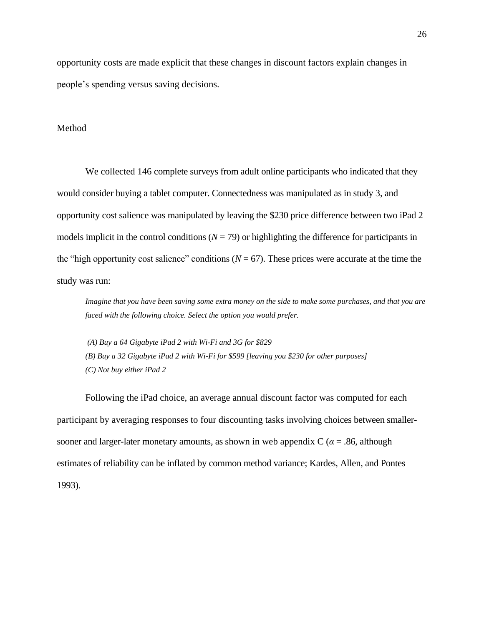opportunity costs are made explicit that these changes in discount factors explain changes in people's spending versus saving decisions.

#### Method

We collected 146 complete surveys from adult online participants who indicated that they would consider buying a tablet computer. Connectedness was manipulated as in study 3, and opportunity cost salience was manipulated by leaving the \$230 price difference between two iPad 2 models implicit in the control conditions ( $N = 79$ ) or highlighting the difference for participants in the "high opportunity cost salience" conditions ( $N = 67$ ). These prices were accurate at the time the study was run:

*Imagine that you have been saving some extra money on the side to make some purchases, and that you are faced with the following choice. Select the option you would prefer.*

*(A) Buy a 64 Gigabyte iPad 2 with Wi-Fi and 3G for \$829 (B) Buy a 32 Gigabyte iPad 2 with Wi-Fi for \$599 [leaving you \$230 for other purposes] (C) Not buy either iPad 2*

Following the iPad choice, an average annual discount factor was computed for each participant by averaging responses to four discounting tasks involving choices between smallersooner and larger-later monetary amounts, as shown in web appendix  $C (\alpha = .86,$  although estimates of reliability can be inflated by common method variance; Kardes, Allen, and Pontes 1993).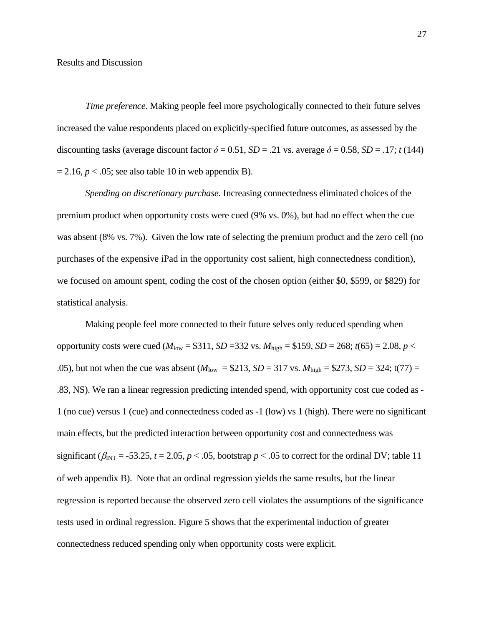*Time preference*. Making people feel more psychologically connected to their future selves increased the value respondents placed on explicitly-specified future outcomes, as assessed by the discounting tasks (average discount factor  $\delta = 0.51$ ,  $SD = .21$  vs. average  $\delta = 0.58$ ,  $SD = .17$ ; *t* (144)  $= 2.16$ ,  $p < .05$ ; see also table 10 in web appendix B).

*Spending on discretionary purchase*. Increasing connectedness eliminated choices of the premium product when opportunity costs were cued (9% vs. 0%), but had no effect when the cue was absent (8% vs. 7%). Given the low rate of selecting the premium product and the zero cell (no purchases of the expensive iPad in the opportunity cost salient, high connectedness condition), we focused on amount spent, coding the cost of the chosen option (either \$0, \$599, or \$829) for statistical analysis.

Making people feel more connected to their future selves only reduced spending when opportunity costs were cued ( $M_{\text{low}} = $311, SD = 332$  vs.  $M_{\text{high}} = $159, SD = 268$ ;  $t(65) = 2.08, p <$ .05), but not when the cue was absent  $(M_{low} = $213, SD = 317 \text{ vs. } M_{high} = $273, SD = 324$ ; t(77) = .83, NS). We ran a linear regression predicting intended spend, with opportunity cost cue coded as - 1 (no cue) versus 1 (cue) and connectedness coded as -1 (low) vs 1 (high). There were no significant main effects, but the predicted interaction between opportunity cost and connectedness was significant ( $\beta_{\text{INT}}$  = -53.25,  $t$  = 2.05,  $p$  < .05, bootstrap  $p$  < .05 to correct for the ordinal DV; table 11 of web appendix B). Note that an ordinal regression yields the same results, but the linear regression is reported because the observed zero cell violates the assumptions of the significance tests used in ordinal regression. Figure 5 shows that the experimental induction of greater connectedness reduced spending only when opportunity costs were explicit.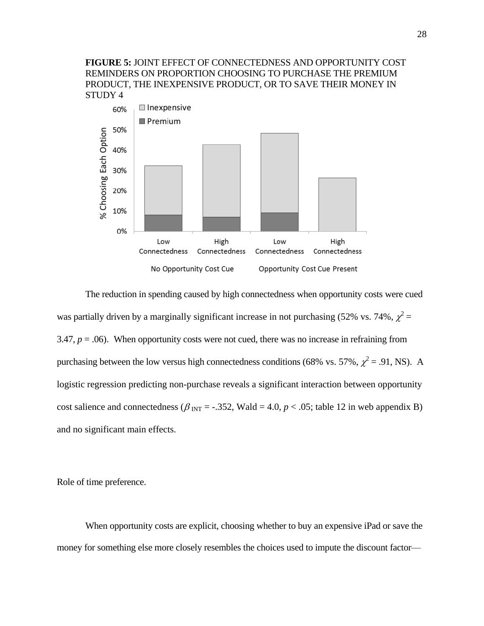**FIGURE 5:** JOINT EFFECT OF CONNECTEDNESS AND OPPORTUNITY COST REMINDERS ON PROPORTION CHOOSING TO PURCHASE THE PREMIUM PRODUCT, THE INEXPENSIVE PRODUCT, OR TO SAVE THEIR MONEY IN STUDY 4



The reduction in spending caused by high connectedness when opportunity costs were cued was partially driven by a marginally significant increase in not purchasing (52% vs. 74%,  $\chi^2$  = 3.47,  $p = 0.06$ ). When opportunity costs were not cued, there was no increase in refraining from purchasing between the low versus high connectedness conditions (68% vs. 57%,  $\chi^2 = .91$ , NS). A logistic regression predicting non-purchase reveals a significant interaction between opportunity cost salience and connectedness ( $\beta_{\text{INT}} = -.352$ , Wald = 4.0,  $p < .05$ ; table 12 in web appendix B) and no significant main effects.

Role of time preference.

When opportunity costs are explicit, choosing whether to buy an expensive iPad or save the money for something else more closely resembles the choices used to impute the discount factor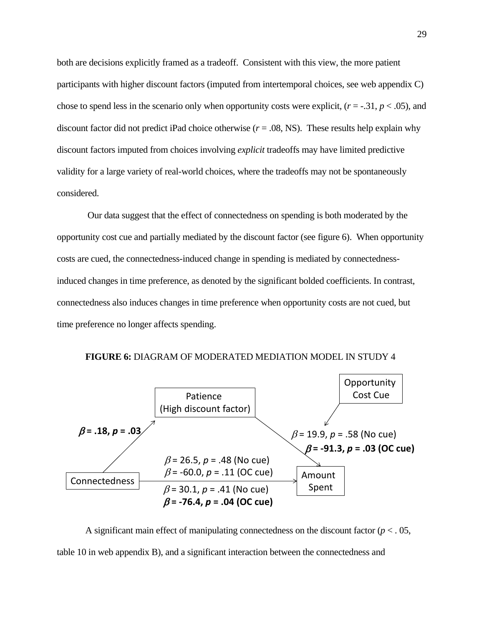both are decisions explicitly framed as a tradeoff. Consistent with this view, the more patient participants with higher discount factors (imputed from intertemporal choices, see web appendix C) chose to spend less in the scenario only when opportunity costs were explicit,  $(r = -.31, p < .05)$ , and discount factor did not predict iPad choice otherwise  $(r = .08, NS)$ . These results help explain why discount factors imputed from choices involving *explicit* tradeoffs may have limited predictive validity for a large variety of real-world choices, where the tradeoffs may not be spontaneously considered.

Our data suggest that the effect of connectedness on spending is both moderated by the opportunity cost cue and partially mediated by the discount factor (see figure 6). When opportunity costs are cued, the connectedness-induced change in spending is mediated by connectednessinduced changes in time preference, as denoted by the significant bolded coefficients. In contrast, connectedness also induces changes in time preference when opportunity costs are not cued, but time preference no longer affects spending.



**FIGURE 6:** DIAGRAM OF MODERATED MEDIATION MODEL IN STUDY 4

A significant main effect of manipulating connectedness on the discount factor  $(p < 0.05)$ , table 10 in web appendix B), and a significant interaction between the connectedness and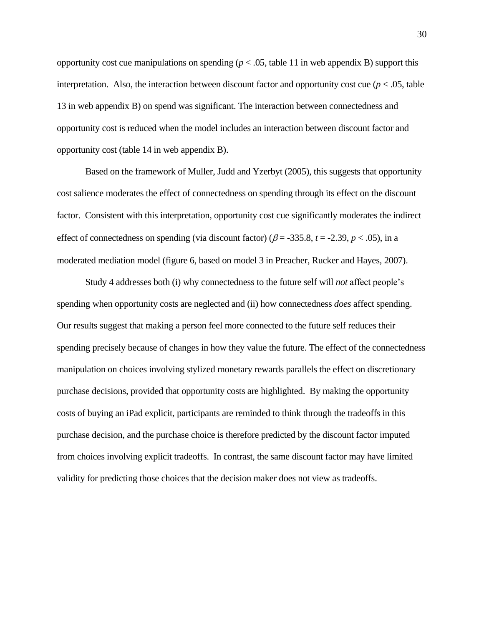opportunity cost cue manipulations on spending ( $p < .05$ , table 11 in web appendix B) support this interpretation. Also, the interaction between discount factor and opportunity cost cue ( $p < .05$ , table 13 in web appendix B) on spend was significant. The interaction between connectedness and opportunity cost is reduced when the model includes an interaction between discount factor and opportunity cost (table 14 in web appendix B).

Based on the framework of Muller, Judd and Yzerbyt (2005), this suggests that opportunity cost salience moderates the effect of connectedness on spending through its effect on the discount factor. Consistent with this interpretation, opportunity cost cue significantly moderates the indirect effect of connectedness on spending (via discount factor) ( $\beta$  = -335.8, *t* = -2.39, *p* < .05), in a moderated mediation model (figure 6, based on model 3 in Preacher, Rucker and Hayes, 2007).

Study 4 addresses both (i) why connectedness to the future self will *not* affect people's spending when opportunity costs are neglected and (ii) how connectedness *does* affect spending. Our results suggest that making a person feel more connected to the future self reduces their spending precisely because of changes in how they value the future. The effect of the connectedness manipulation on choices involving stylized monetary rewards parallels the effect on discretionary purchase decisions, provided that opportunity costs are highlighted. By making the opportunity costs of buying an iPad explicit, participants are reminded to think through the tradeoffs in this purchase decision, and the purchase choice is therefore predicted by the discount factor imputed from choices involving explicit tradeoffs. In contrast, the same discount factor may have limited validity for predicting those choices that the decision maker does not view as tradeoffs.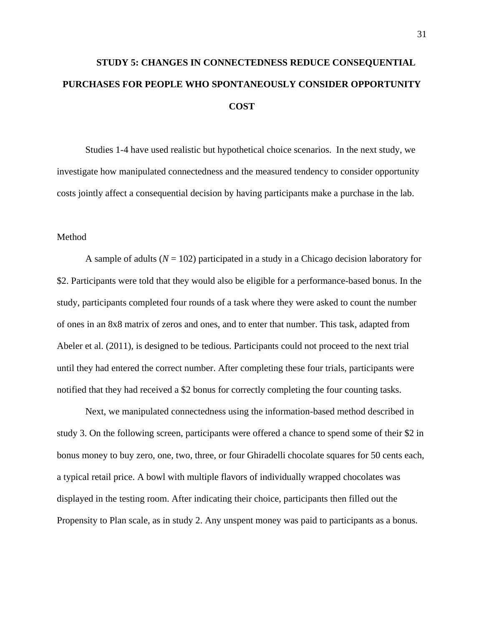# **STUDY 5: CHANGES IN CONNECTEDNESS REDUCE CONSEQUENTIAL PURCHASES FOR PEOPLE WHO SPONTANEOUSLY CONSIDER OPPORTUNITY COST**

Studies 1-4 have used realistic but hypothetical choice scenarios. In the next study, we investigate how manipulated connectedness and the measured tendency to consider opportunity costs jointly affect a consequential decision by having participants make a purchase in the lab.

#### Method

A sample of adults  $(N = 102)$  participated in a study in a Chicago decision laboratory for \$2. Participants were told that they would also be eligible for a performance-based bonus. In the study, participants completed four rounds of a task where they were asked to count the number of ones in an 8x8 matrix of zeros and ones, and to enter that number. This task, adapted from Abeler et al. (2011), is designed to be tedious. Participants could not proceed to the next trial until they had entered the correct number. After completing these four trials, participants were notified that they had received a \$2 bonus for correctly completing the four counting tasks.

Next, we manipulated connectedness using the information-based method described in study 3. On the following screen, participants were offered a chance to spend some of their \$2 in bonus money to buy zero, one, two, three, or four Ghiradelli chocolate squares for 50 cents each, a typical retail price. A bowl with multiple flavors of individually wrapped chocolates was displayed in the testing room. After indicating their choice, participants then filled out the Propensity to Plan scale, as in study 2. Any unspent money was paid to participants as a bonus.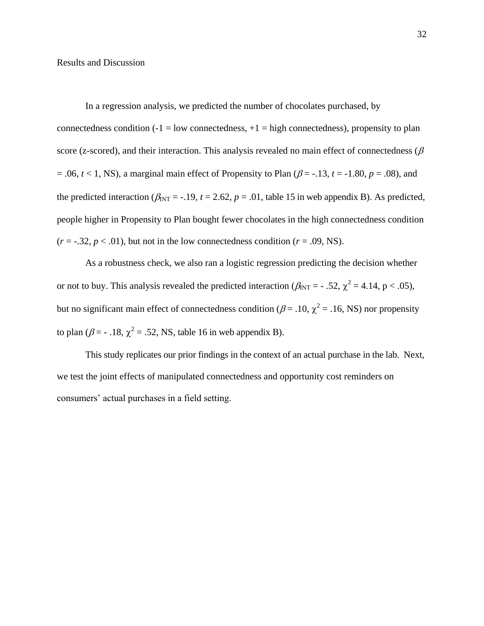Results and Discussion

In a regression analysis, we predicted the number of chocolates purchased, by connectedness condition  $(-1 = low$  connectedness,  $+1 = high$  connectedness), propensity to plan score (z-scored), and their interaction. This analysis revealed no main effect of connectedness ( $\beta$ )  $= .06$ ,  $t < 1$ , NS), a marginal main effect of Propensity to Plan ( $\beta = -.13$ ,  $t = -1.80$ ,  $p = .08$ ), and the predicted interaction ( $\beta_{\text{INT}} = -.19$ ,  $t = 2.62$ ,  $p = .01$ , table 15 in web appendix B). As predicted, people higher in Propensity to Plan bought fewer chocolates in the high connectedness condition  $(r = -.32, p < .01)$ , but not in the low connectedness condition  $(r = .09, NS)$ .

As a robustness check, we also ran a logistic regression predicting the decision whether or not to buy. This analysis revealed the predicted interaction ( $\beta_{\text{INT}} = -0.52$ ,  $\chi^2 = 4.14$ , p < 0.05), but no significant main effect of connectedness condition ( $\beta$  = .10,  $\chi^2$  = .16, NS) nor propensity to plan ( $\beta$  = - .18,  $\chi^2$  = .52, NS, table 16 in web appendix B).

This study replicates our prior findings in the context of an actual purchase in the lab. Next, we test the joint effects of manipulated connectedness and opportunity cost reminders on consumers' actual purchases in a field setting.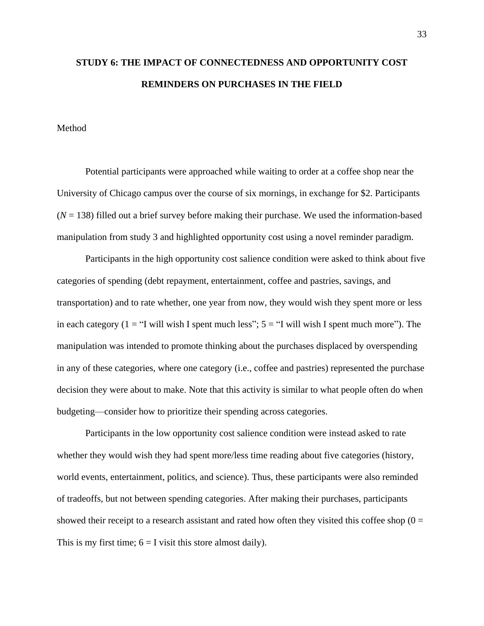## **STUDY 6: THE IMPACT OF CONNECTEDNESS AND OPPORTUNITY COST REMINDERS ON PURCHASES IN THE FIELD**

#### Method

Potential participants were approached while waiting to order at a coffee shop near the University of Chicago campus over the course of six mornings, in exchange for \$2. Participants  $(N = 138)$  filled out a brief survey before making their purchase. We used the information-based manipulation from study 3 and highlighted opportunity cost using a novel reminder paradigm.

Participants in the high opportunity cost salience condition were asked to think about five categories of spending (debt repayment, entertainment, coffee and pastries, savings, and transportation) and to rate whether, one year from now, they would wish they spent more or less in each category (1 = "I will wish I spent much less";  $5 =$  "I will wish I spent much more"). The manipulation was intended to promote thinking about the purchases displaced by overspending in any of these categories, where one category (i.e., coffee and pastries) represented the purchase decision they were about to make. Note that this activity is similar to what people often do when budgeting—consider how to prioritize their spending across categories.

Participants in the low opportunity cost salience condition were instead asked to rate whether they would wish they had spent more/less time reading about five categories (history, world events, entertainment, politics, and science). Thus, these participants were also reminded of tradeoffs, but not between spending categories. After making their purchases, participants showed their receipt to a research assistant and rated how often they visited this coffee shop  $(0 =$ This is my first time;  $6 = I$  visit this store almost daily).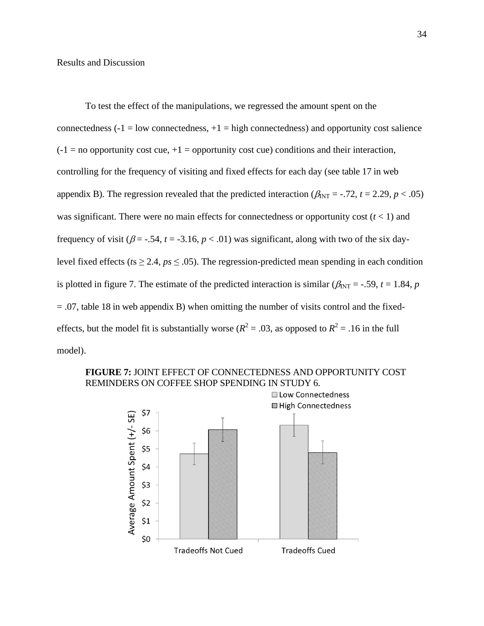To test the effect of the manipulations, we regressed the amount spent on the connectedness  $(-1)$  = low connectedness,  $+1$  = high connectedness) and opportunity cost salience  $(-1 \equiv$  no opportunity cost cue,  $+1 \equiv$  opportunity cost cue) conditions and their interaction, controlling for the frequency of visiting and fixed effects for each day (see table 17 in web appendix B). The regression revealed that the predicted interaction ( $\beta_{INT}$  = -.72, *t* = 2.29, *p* < .05) was significant. There were no main effects for connectedness or opportunity cost  $(t < 1)$  and frequency of visit ( $\beta$  = -.54,  $t$  = -3.16,  $p$  < .01) was significant, along with two of the six daylevel fixed effects ( $ts \ge 2.4$ ,  $ps \le .05$ ). The regression-predicted mean spending in each condition is plotted in figure 7. The estimate of the predicted interaction is similar ( $\beta_{INT}$  = -.59, *t* = 1.84, *p*  $= .07$ , table 18 in web appendix B) when omitting the number of visits control and the fixedeffects, but the model fit is substantially worse ( $R^2 = .03$ , as opposed to  $R^2 = .16$  in the full model).



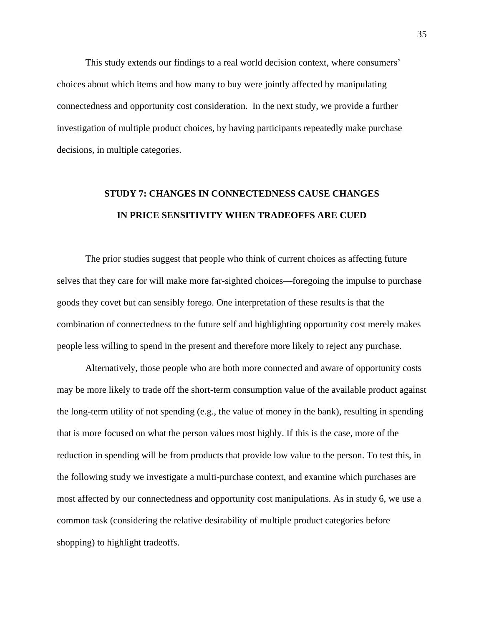This study extends our findings to a real world decision context, where consumers' choices about which items and how many to buy were jointly affected by manipulating connectedness and opportunity cost consideration. In the next study, we provide a further investigation of multiple product choices, by having participants repeatedly make purchase decisions, in multiple categories.

## **STUDY 7: CHANGES IN CONNECTEDNESS CAUSE CHANGES IN PRICE SENSITIVITY WHEN TRADEOFFS ARE CUED**

The prior studies suggest that people who think of current choices as affecting future selves that they care for will make more far-sighted choices—foregoing the impulse to purchase goods they covet but can sensibly forego. One interpretation of these results is that the combination of connectedness to the future self and highlighting opportunity cost merely makes people less willing to spend in the present and therefore more likely to reject any purchase.

Alternatively, those people who are both more connected and aware of opportunity costs may be more likely to trade off the short-term consumption value of the available product against the long-term utility of not spending (e.g., the value of money in the bank), resulting in spending that is more focused on what the person values most highly. If this is the case, more of the reduction in spending will be from products that provide low value to the person. To test this, in the following study we investigate a multi-purchase context, and examine which purchases are most affected by our connectedness and opportunity cost manipulations. As in study 6, we use a common task (considering the relative desirability of multiple product categories before shopping) to highlight tradeoffs.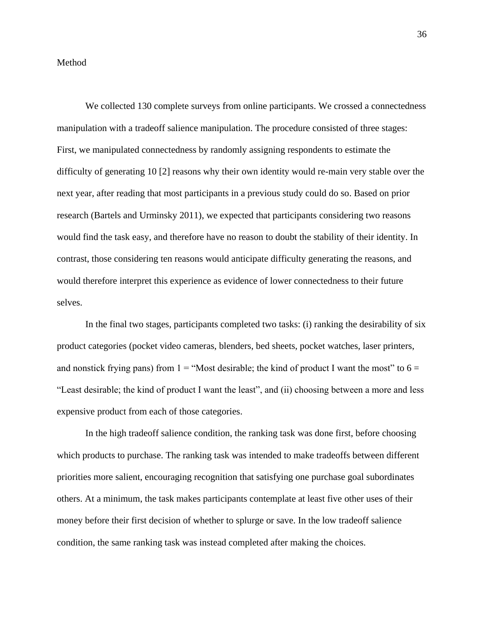#### Method

We collected 130 complete surveys from online participants. We crossed a connectedness manipulation with a tradeoff salience manipulation. The procedure consisted of three stages: First, we manipulated connectedness by randomly assigning respondents to estimate the difficulty of generating 10 [2] reasons why their own identity would re-main very stable over the next year, after reading that most participants in a previous study could do so. Based on prior research (Bartels and Urminsky 2011), we expected that participants considering two reasons would find the task easy, and therefore have no reason to doubt the stability of their identity. In contrast, those considering ten reasons would anticipate difficulty generating the reasons, and would therefore interpret this experience as evidence of lower connectedness to their future selves.

In the final two stages, participants completed two tasks: (i) ranking the desirability of six product categories (pocket video cameras, blenders, bed sheets, pocket watches, laser printers, and nonstick frying pans) from  $1 =$  "Most desirable; the kind of product I want the most" to  $6 =$ "Least desirable; the kind of product I want the least", and (ii) choosing between a more and less expensive product from each of those categories.

In the high tradeoff salience condition, the ranking task was done first, before choosing which products to purchase. The ranking task was intended to make tradeoffs between different priorities more salient, encouraging recognition that satisfying one purchase goal subordinates others. At a minimum, the task makes participants contemplate at least five other uses of their money before their first decision of whether to splurge or save. In the low tradeoff salience condition, the same ranking task was instead completed after making the choices.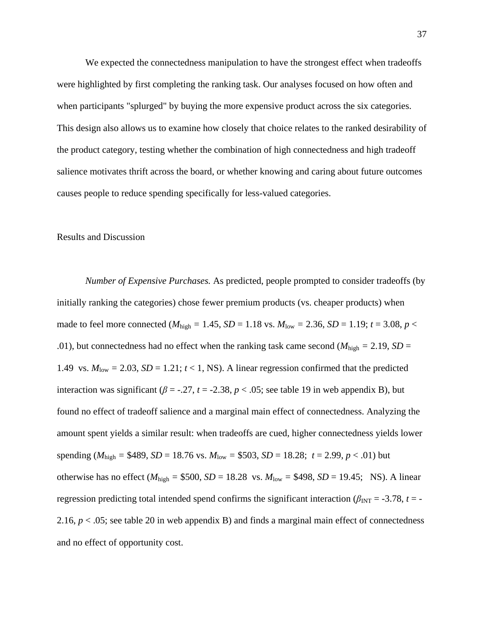We expected the connectedness manipulation to have the strongest effect when tradeoffs were highlighted by first completing the ranking task. Our analyses focused on how often and when participants "splurged" by buying the more expensive product across the six categories. This design also allows us to examine how closely that choice relates to the ranked desirability of the product category, testing whether the combination of high connectedness and high tradeoff salience motivates thrift across the board, or whether knowing and caring about future outcomes causes people to reduce spending specifically for less-valued categories.

#### Results and Discussion

*Number of Expensive Purchases.* As predicted, people prompted to consider tradeoffs (by initially ranking the categories) chose fewer premium products (vs. cheaper products) when made to feel more connected ( $M_{\text{high}} = 1.45$ ,  $SD = 1.18$  vs.  $M_{\text{low}} = 2.36$ ,  $SD = 1.19$ ;  $t = 3.08$ ,  $p <$ .01), but connectedness had no effect when the ranking task came second ( $M_{\text{high}} = 2.19$ , *SD* = 1.49 vs.  $M_{\text{low}} = 2.03$ ,  $SD = 1.21$ ;  $t < 1$ , NS). A linear regression confirmed that the predicted interaction was significant ( $\beta$  = -.27,  $t$  = -2.38,  $p$  < .05; see table 19 in web appendix B), but found no effect of tradeoff salience and a marginal main effect of connectedness. Analyzing the amount spent yields a similar result: when tradeoffs are cued, higher connectedness yields lower spending ( $M_{\text{high}} = $489$ ,  $SD = 18.76$  vs.  $M_{\text{low}} = $503$ ,  $SD = 18.28$ ;  $t = 2.99$ ,  $p < .01$ ) but otherwise has no effect ( $M_{\text{high}} = $500$ ,  $SD = 18.28$  vs.  $M_{\text{low}} = $498$ ,  $SD = 19.45$ ; NS). A linear regression predicting total intended spend confirms the significant interaction ( $\beta_{\text{INT}} = -3.78$ ,  $t = -1$ 2.16,  $p < 0.05$ ; see table 20 in web appendix B) and finds a marginal main effect of connectedness and no effect of opportunity cost.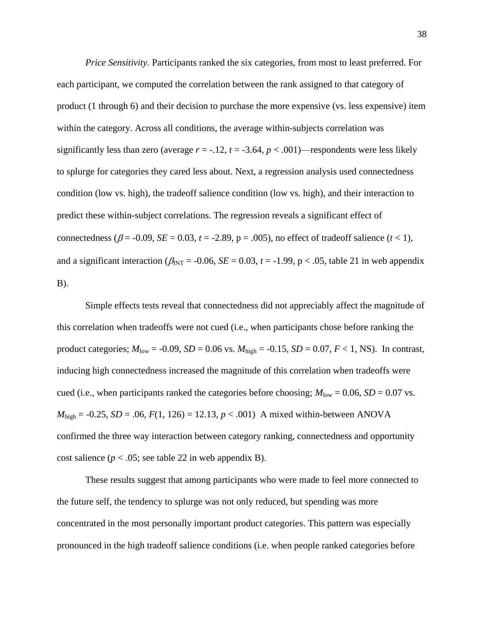*Price Sensitivity*. Participants ranked the six categories, from most to least preferred. For each participant, we computed the correlation between the rank assigned to that category of product (1 through 6) and their decision to purchase the more expensive (vs. less expensive) item within the category. Across all conditions, the average within-subjects correlation was significantly less than zero (average  $r = -0.12$ ,  $t = -3.64$ ,  $p < .001$ )—respondents were less likely to splurge for categories they cared less about. Next, a regression analysis used connectedness condition (low vs. high), the tradeoff salience condition (low vs. high), and their interaction to predict these within-subject correlations. The regression reveals a significant effect of connectedness ( $\beta$  = -0.09, *SE* = 0.03, *t* = -2.89, p = .005), no effect of tradeoff salience (*t* < 1), and a significant interaction ( $\beta_{INT}$  = -0.06, *SE* = 0.03, *t* = -1.99, p < .05, table 21 in web appendix B).

Simple effects tests reveal that connectedness did not appreciably affect the magnitude of this correlation when tradeoffs were not cued (i.e., when participants chose before ranking the product categories;  $M_{\text{low}} = -0.09$ ,  $SD = 0.06$  vs.  $M_{\text{high}} = -0.15$ ,  $SD = 0.07$ ,  $F < 1$ , NS). In contrast, inducing high connectedness increased the magnitude of this correlation when tradeoffs were cued (i.e., when participants ranked the categories before choosing;  $M_{\text{low}} = 0.06$ ,  $SD = 0.07$  vs.  $M_{\text{high}} = -0.25$ , *SD* = .06,  $F(1, 126) = 12.13$ ,  $p < .001$ ) A mixed within-between ANOVA confirmed the three way interaction between category ranking, connectedness and opportunity cost salience ( $p < .05$ ; see table 22 in web appendix B).

These results suggest that among participants who were made to feel more connected to the future self, the tendency to splurge was not only reduced, but spending was more concentrated in the most personally important product categories. This pattern was especially pronounced in the high tradeoff salience conditions (i.e. when people ranked categories before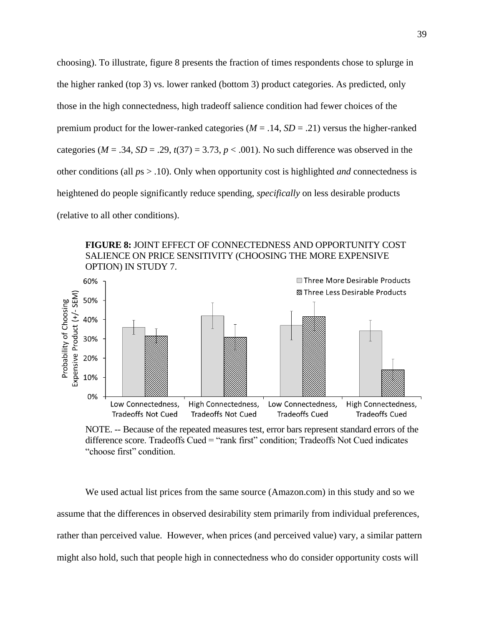choosing). To illustrate, figure 8 presents the fraction of times respondents chose to splurge in the higher ranked (top 3) vs. lower ranked (bottom 3) product categories. As predicted, only those in the high connectedness, high tradeoff salience condition had fewer choices of the premium product for the lower-ranked categories ( $M = .14$ ,  $SD = .21$ ) versus the higher-ranked categories ( $M = .34$ ,  $SD = .29$ ,  $t(37) = 3.73$ ,  $p < .001$ ). No such difference was observed in the other conditions (all *p*s > .10). Only when opportunity cost is highlighted *and* connectedness is heightened do people significantly reduce spending, *specifically* on less desirable products (relative to all other conditions).

### **FIGURE 8:** JOINT EFFECT OF CONNECTEDNESS AND OPPORTUNITY COST SALIENCE ON PRICE SENSITIVITY (CHOOSING THE MORE EXPENSIVE OPTION) IN STUDY 7.



NOTE. -- Because of the repeated measures test, error bars represent standard errors of the difference score. Tradeoffs Cued = "rank first" condition; Tradeoffs Not Cued indicates "choose first" condition.

We used actual list prices from the same source (Amazon.com) in this study and so we assume that the differences in observed desirability stem primarily from individual preferences, rather than perceived value. However, when prices (and perceived value) vary, a similar pattern might also hold, such that people high in connectedness who do consider opportunity costs will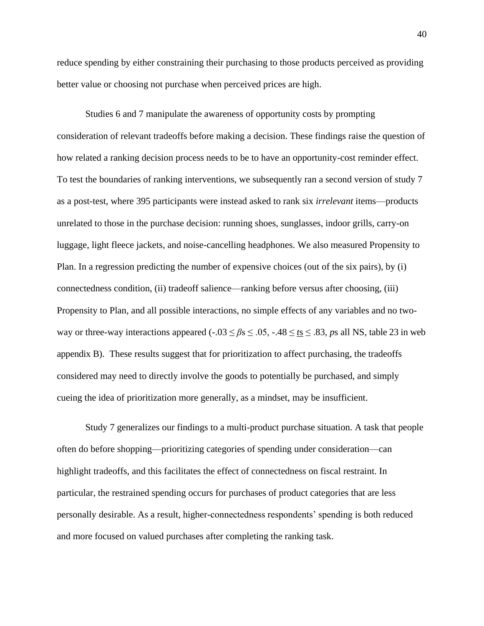reduce spending by either constraining their purchasing to those products perceived as providing better value or choosing not purchase when perceived prices are high.

Studies 6 and 7 manipulate the awareness of opportunity costs by prompting consideration of relevant tradeoffs before making a decision. These findings raise the question of how related a ranking decision process needs to be to have an opportunity-cost reminder effect. To test the boundaries of ranking interventions, we subsequently ran a second version of study 7 as a post-test, where 395 participants were instead asked to rank six *irrelevant* items—products unrelated to those in the purchase decision: running shoes, sunglasses, indoor grills, carry-on luggage, light fleece jackets, and noise-cancelling headphones. We also measured Propensity to Plan. In a regression predicting the number of expensive choices (out of the six pairs), by (i) connectedness condition, (ii) tradeoff salience—ranking before versus after choosing, (iii) Propensity to Plan, and all possible interactions, no simple effects of any variables and no twoway or three-way interactions appeared ( $-0.03 \le \beta s \le 0.05$ ,  $-0.48 \le t s \le 0.83$ , *ps* all NS, table 23 in web appendix B). These results suggest that for prioritization to affect purchasing, the tradeoffs considered may need to directly involve the goods to potentially be purchased, and simply cueing the idea of prioritization more generally, as a mindset, may be insufficient.

Study 7 generalizes our findings to a multi-product purchase situation. A task that people often do before shopping—prioritizing categories of spending under consideration—can highlight tradeoffs, and this facilitates the effect of connectedness on fiscal restraint. In particular, the restrained spending occurs for purchases of product categories that are less personally desirable. As a result, higher-connectedness respondents' spending is both reduced and more focused on valued purchases after completing the ranking task.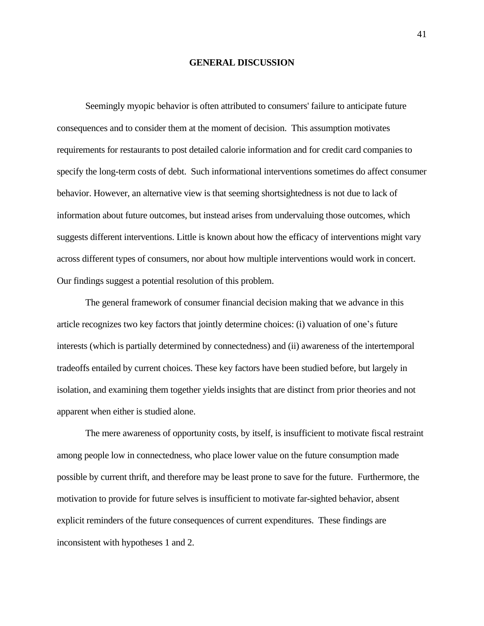#### **GENERAL DISCUSSION**

Seemingly myopic behavior is often attributed to consumers' failure to anticipate future consequences and to consider them at the moment of decision. This assumption motivates requirements for restaurants to post detailed calorie information and for credit card companies to specify the long-term costs of debt. Such informational interventions sometimes do affect consumer behavior. However, an alternative view is that seeming shortsightedness is not due to lack of information about future outcomes, but instead arises from undervaluing those outcomes, which suggests different interventions. Little is known about how the efficacy of interventions might vary across different types of consumers, nor about how multiple interventions would work in concert. Our findings suggest a potential resolution of this problem.

The general framework of consumer financial decision making that we advance in this article recognizes two key factors that jointly determine choices: (i) valuation of one's future interests (which is partially determined by connectedness) and (ii) awareness of the intertemporal tradeoffs entailed by current choices. These key factors have been studied before, but largely in isolation, and examining them together yields insights that are distinct from prior theories and not apparent when either is studied alone.

The mere awareness of opportunity costs, by itself, is insufficient to motivate fiscal restraint among people low in connectedness, who place lower value on the future consumption made possible by current thrift, and therefore may be least prone to save for the future. Furthermore, the motivation to provide for future selves is insufficient to motivate far-sighted behavior, absent explicit reminders of the future consequences of current expenditures. These findings are inconsistent with hypotheses 1 and 2.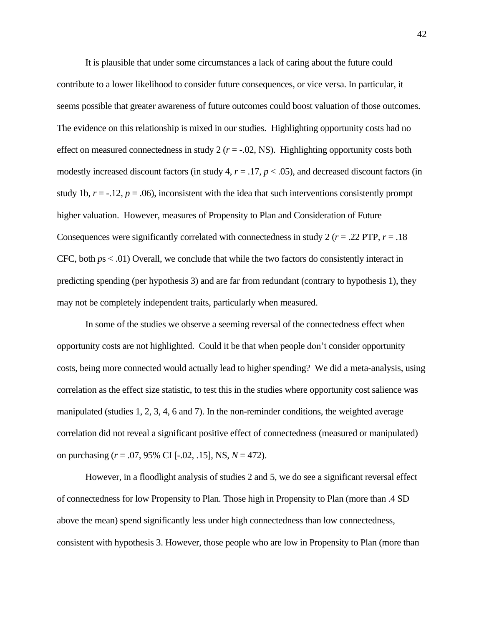It is plausible that under some circumstances a lack of caring about the future could contribute to a lower likelihood to consider future consequences, or vice versa. In particular, it seems possible that greater awareness of future outcomes could boost valuation of those outcomes. The evidence on this relationship is mixed in our studies. Highlighting opportunity costs had no effect on measured connectedness in study  $2 (r = -0.02, NS)$ . Highlighting opportunity costs both modestly increased discount factors (in study 4, *r* = .17, *p* < .05), and decreased discount factors (in study 1b,  $r = -.12$ ,  $p = .06$ ), inconsistent with the idea that such interventions consistently prompt higher valuation. However, measures of Propensity to Plan and Consideration of Future Consequences were significantly correlated with connectedness in study  $2 (r = .22$  PTP,  $r = .18$ CFC, both *p*s < .01) Overall, we conclude that while the two factors do consistently interact in predicting spending (per hypothesis 3) and are far from redundant (contrary to hypothesis 1), they may not be completely independent traits, particularly when measured.

In some of the studies we observe a seeming reversal of the connectedness effect when opportunity costs are not highlighted. Could it be that when people don't consider opportunity costs, being more connected would actually lead to higher spending? We did a meta-analysis, using correlation as the effect size statistic, to test this in the studies where opportunity cost salience was manipulated (studies 1, 2, 3, 4, 6 and 7). In the non-reminder conditions, the weighted average correlation did not reveal a significant positive effect of connectedness (measured or manipulated) on purchasing (*r* = .07, 95% CI [-.02, .15], NS, *N* = 472).

However, in a floodlight analysis of studies 2 and 5, we do see a significant reversal effect of connectedness for low Propensity to Plan. Those high in Propensity to Plan (more than .4 SD above the mean) spend significantly less under high connectedness than low connectedness, consistent with hypothesis 3. However, those people who are low in Propensity to Plan (more than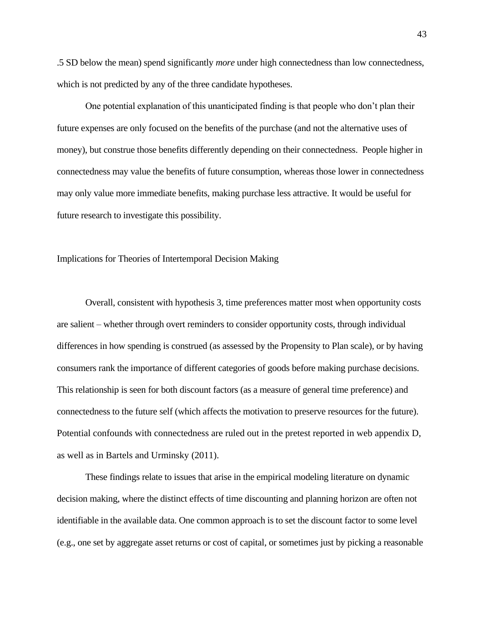.5 SD below the mean) spend significantly *more* under high connectedness than low connectedness, which is not predicted by any of the three candidate hypotheses.

One potential explanation of this unanticipated finding is that people who don't plan their future expenses are only focused on the benefits of the purchase (and not the alternative uses of money), but construe those benefits differently depending on their connectedness. People higher in connectedness may value the benefits of future consumption, whereas those lower in connectedness may only value more immediate benefits, making purchase less attractive. It would be useful for future research to investigate this possibility.

Implications for Theories of Intertemporal Decision Making

Overall, consistent with hypothesis 3, time preferences matter most when opportunity costs are salient – whether through overt reminders to consider opportunity costs, through individual differences in how spending is construed (as assessed by the Propensity to Plan scale), or by having consumers rank the importance of different categories of goods before making purchase decisions. This relationship is seen for both discount factors (as a measure of general time preference) and connectedness to the future self (which affects the motivation to preserve resources for the future). Potential confounds with connectedness are ruled out in the pretest reported in web appendix D, as well as in Bartels and Urminsky (2011).

These findings relate to issues that arise in the empirical modeling literature on dynamic decision making, where the distinct effects of time discounting and planning horizon are often not identifiable in the available data. One common approach is to set the discount factor to some level (e.g., one set by aggregate asset returns or cost of capital, or sometimes just by picking a reasonable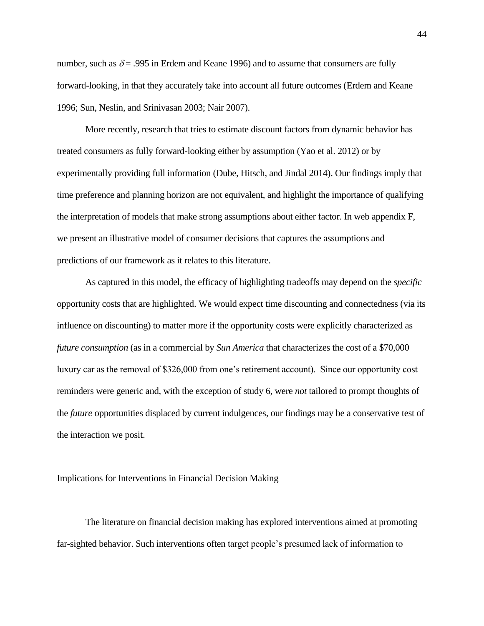number, such as  $\delta$  = .995 in Erdem and Keane 1996) and to assume that consumers are fully forward-looking, in that they accurately take into account all future outcomes (Erdem and Keane 1996; Sun, Neslin, and Srinivasan 2003; Nair 2007).

More recently, research that tries to estimate discount factors from dynamic behavior has treated consumers as fully forward-looking either by assumption (Yao et al. 2012) or by experimentally providing full information (Dube, Hitsch, and Jindal 2014). Our findings imply that time preference and planning horizon are not equivalent, and highlight the importance of qualifying the interpretation of models that make strong assumptions about either factor. In web appendix F, we present an illustrative model of consumer decisions that captures the assumptions and predictions of our framework as it relates to this literature.

As captured in this model, the efficacy of highlighting tradeoffs may depend on the *specific* opportunity costs that are highlighted. We would expect time discounting and connectedness (via its influence on discounting) to matter more if the opportunity costs were explicitly characterized as *future consumption* (as in a commercial by *Sun America* that characterizes the cost of a \$70,000 luxury car as the removal of \$326,000 from one's retirement account). Since our opportunity cost reminders were generic and, with the exception of study 6, were *not* tailored to prompt thoughts of the *future* opportunities displaced by current indulgences, our findings may be a conservative test of the interaction we posit.

### Implications for Interventions in Financial Decision Making

The literature on financial decision making has explored interventions aimed at promoting far-sighted behavior. Such interventions often target people's presumed lack of information to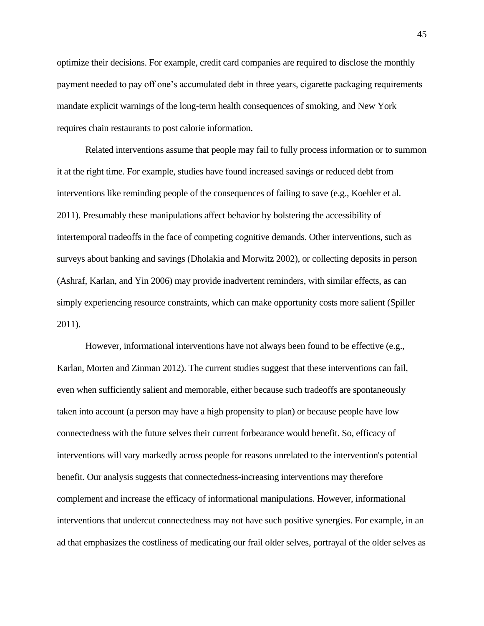optimize their decisions. For example, credit card companies are required to disclose the monthly payment needed to pay off one's accumulated debt in three years, cigarette packaging requirements mandate explicit warnings of the long-term health consequences of smoking, and New York requires chain restaurants to post calorie information.

Related interventions assume that people may fail to fully process information or to summon it at the right time. For example, studies have found increased savings or reduced debt from interventions like reminding people of the consequences of failing to save (e.g., Koehler et al. 2011). Presumably these manipulations affect behavior by bolstering the accessibility of intertemporal tradeoffs in the face of competing cognitive demands. Other interventions, such as surveys about banking and savings (Dholakia and Morwitz 2002), or collecting deposits in person (Ashraf, Karlan, and Yin 2006) may provide inadvertent reminders, with similar effects, as can simply experiencing resource constraints, which can make opportunity costs more salient (Spiller 2011).

However, informational interventions have not always been found to be effective (e.g., Karlan, Morten and Zinman 2012). The current studies suggest that these interventions can fail, even when sufficiently salient and memorable, either because such tradeoffs are spontaneously taken into account (a person may have a high propensity to plan) or because people have low connectedness with the future selves their current forbearance would benefit. So, efficacy of interventions will vary markedly across people for reasons unrelated to the intervention's potential benefit. Our analysis suggests that connectedness-increasing interventions may therefore complement and increase the efficacy of informational manipulations. However, informational interventions that undercut connectedness may not have such positive synergies. For example, in an ad that emphasizes the costliness of medicating our frail older selves, portrayal of the older selves as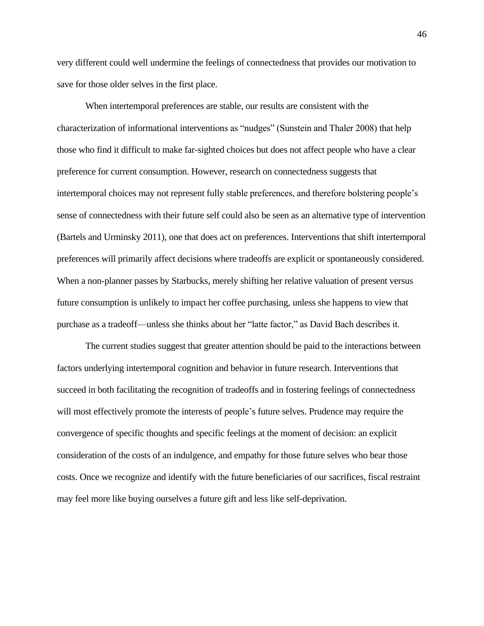very different could well undermine the feelings of connectedness that provides our motivation to save for those older selves in the first place.

When intertemporal preferences are stable, our results are consistent with the characterization of informational interventions as "nudges" (Sunstein and Thaler 2008) that help those who find it difficult to make far-sighted choices but does not affect people who have a clear preference for current consumption. However, research on connectedness suggests that intertemporal choices may not represent fully stable preferences, and therefore bolstering people's sense of connectedness with their future self could also be seen as an alternative type of intervention (Bartels and Urminsky 2011), one that does act on preferences. Interventions that shift intertemporal preferences will primarily affect decisions where tradeoffs are explicit or spontaneously considered. When a non-planner passes by Starbucks, merely shifting her relative valuation of present versus future consumption is unlikely to impact her coffee purchasing, unless she happens to view that purchase as a tradeoff—unless she thinks about her "latte factor," as David Bach describes it.

The current studies suggest that greater attention should be paid to the interactions between factors underlying intertemporal cognition and behavior in future research. Interventions that succeed in both facilitating the recognition of tradeoffs and in fostering feelings of connectedness will most effectively promote the interests of people's future selves. Prudence may require the convergence of specific thoughts and specific feelings at the moment of decision: an explicit consideration of the costs of an indulgence, and empathy for those future selves who bear those costs. Once we recognize and identify with the future beneficiaries of our sacrifices, fiscal restraint may feel more like buying ourselves a future gift and less like self-deprivation.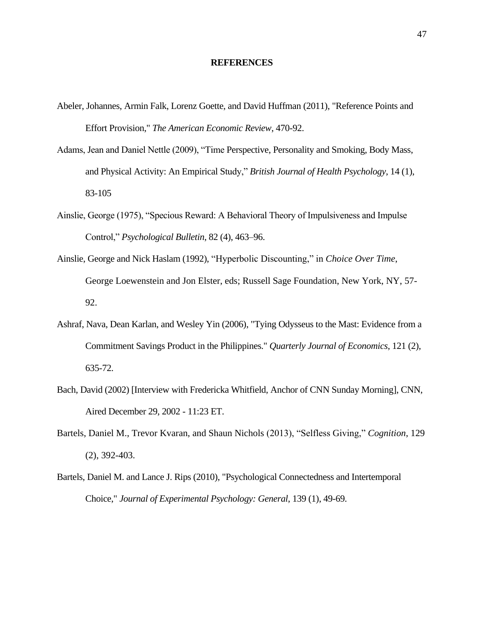#### **REFERENCES**

- Abeler, Johannes, Armin Falk, Lorenz Goette, and David Huffman (2011), "Reference Points and Effort Provision," *The American Economic Review*, 470-92.
- Adams, Jean and Daniel Nettle (2009), "Time Perspective, Personality and Smoking, Body Mass, and Physical Activity: An Empirical Study," *British Journal of Health Psychology*, 14 (1), 83-105
- Ainslie, George (1975), "Specious Reward: A Behavioral Theory of Impulsiveness and Impulse Control," *Psychological Bulletin*, 82 (4), 463–96.
- Ainslie, George and Nick Haslam (1992), "Hyperbolic Discounting," in *Choice Over Time*, George Loewenstein and Jon Elster, eds; Russell Sage Foundation, New York, NY, 57- 92.
- Ashraf, Nava, Dean Karlan, and Wesley Yin (2006), "Tying Odysseus to the Mast: Evidence from a Commitment Savings Product in the Philippines." *Quarterly Journal of Economics*, 121 (2), 635-72.
- Bach, David (2002) [Interview with Fredericka Whitfield, Anchor of CNN Sunday Morning], CNN, Aired December 29, 2002 - 11:23 ET.
- Bartels, Daniel M., Trevor Kvaran, and Shaun Nichols (2013), "Selfless Giving," *Cognition*, 129 (2), 392-403.
- Bartels, Daniel M. and Lance J. Rips (2010), "Psychological Connectedness and Intertemporal Choice," *Journal of Experimental Psychology: General*, 139 (1), 49-69.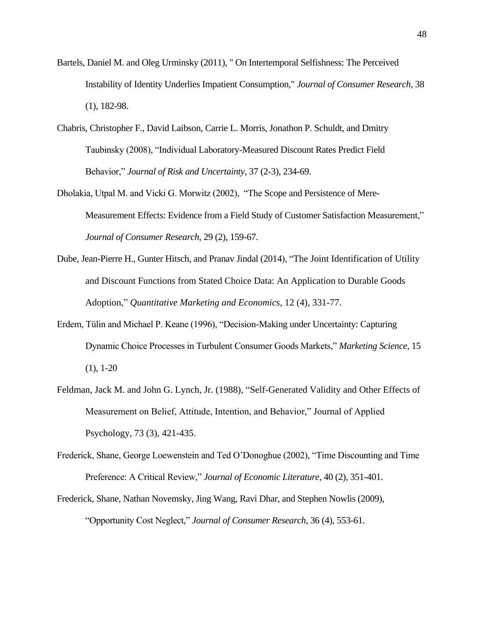- Bartels, Daniel M. and Oleg Urminsky (2011), " On Intertemporal Selfishness: The Perceived Instability of Identity Underlies Impatient Consumption," *Journal of Consumer Research*, 38 (1), 182-98.
- Chabris, Christopher F., David Laibson, Carrie L. Morris, Jonathon P. Schuldt, and Dmitry Taubinsky (2008), "Individual Laboratory-Measured Discount Rates Predict Field Behavior," *Journal of Risk and Uncertainty*, 37 (2-3), 234-69.
- Dholakia, Utpal M. and Vicki G. Morwitz (2002), "The Scope and Persistence of Mere-Measurement Effects: Evidence from a Field Study of Customer Satisfaction Measurement," *Journal of Consumer Research*, 29 (2), 159-67.
- Dube, Jean-Pierre H., Gunter Hitsch, and Pranav Jindal (2014), "The Joint Identification of Utility and Discount Functions from Stated Choice Data: An Application to Durable Goods Adoption," *Quantitative Marketing and Economics*, 12 (4), 331-77.
- Erdem, Tülin and Michael P. Keane (1996), "Decision-Making under Uncertainty: Capturing Dynamic Choice Processes in Turbulent Consumer Goods Markets," *Marketing Science*, 15  $(1), 1-20$
- Feldman, Jack M. and John G. Lynch, Jr. (1988), "Self-Generated Validity and Other Effects of Measurement on Belief, Attitude, Intention, and Behavior," Journal of Applied Psychology, 73 (3), 421-435.
- Frederick, Shane, George Loewenstein and Ted O'Donoghue (2002), "Time Discounting and Time Preference: A Critical Review," *Journal of Economic Literature*, 40 (2), 351-401.
- Frederick, Shane, Nathan Novemsky, Jing Wang, Ravi Dhar, and Stephen Nowlis (2009), "Opportunity Cost Neglect," *Journal of Consumer Research*, 36 (4), 553-61.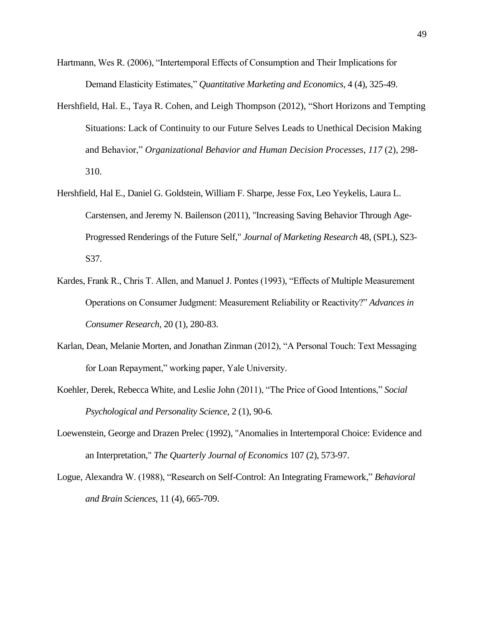- Hartmann, Wes R. (2006), "Intertemporal Effects of Consumption and Their Implications for Demand Elasticity Estimates," *Quantitative Marketing and Economics*, 4 (4), 325-49.
- Hershfield, Hal. E., Taya R. Cohen, and Leigh Thompson (2012), "Short Horizons and Tempting Situations: Lack of Continuity to our Future Selves Leads to Unethical Decision Making and Behavior," *Organizational Behavior and Human Decision Processes*, *117* (2), 298- 310.
- Hershfield, Hal E., Daniel G. Goldstein, William F. Sharpe, Jesse Fox, Leo Yeykelis, Laura L. Carstensen, and Jeremy N. Bailenson (2011), "Increasing Saving Behavior Through Age-Progressed Renderings of the Future Self," *Journal of Marketing Research* 48, (SPL), S23- S37.
- Kardes, Frank R., Chris T. Allen, and Manuel J. Pontes (1993), "Effects of Multiple Measurement Operations on Consumer Judgment: Measurement Reliability or Reactivity?" *Advances in Consumer Research,* 20 (1), 280-83.
- Karlan, Dean, Melanie Morten, and Jonathan Zinman (2012), "A Personal Touch: Text Messaging for Loan Repayment," working paper, Yale University.
- Koehler, Derek, Rebecca White, and Leslie John (2011), "The Price of Good Intentions," *Social Psychological and Personality Science*, 2 (1), 90-6.
- Loewenstein, George and Drazen Prelec (1992), "Anomalies in Intertemporal Choice: Evidence and an Interpretation," *The Quarterly Journal of Economics* 107 (2), 573-97.
- Logue, Alexandra W. (1988), "Research on Self-Control: An Integrating Framework," *Behavioral and Brain Sciences*, 11 (4), 665-709.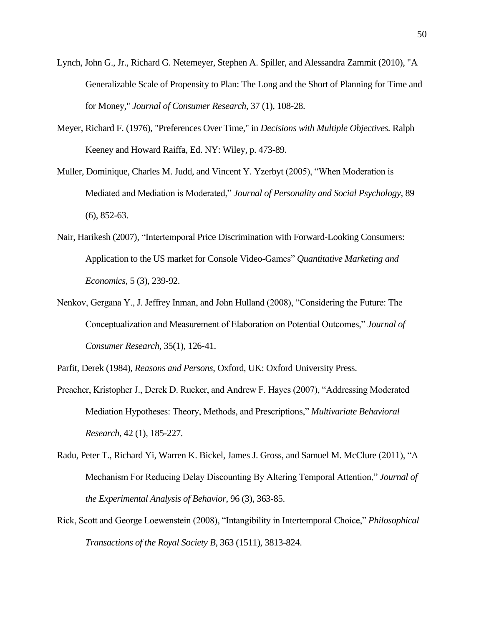- Lynch, John G., Jr., Richard G. Netemeyer, Stephen A. Spiller, and Alessandra Zammit (2010), "A Generalizable Scale of Propensity to Plan: The Long and the Short of Planning for Time and for Money," *Journal of Consumer Research*, 37 (1), 108-28.
- Meyer, Richard F. (1976), "Preferences Over Time," in *Decisions with Multiple Objectives.* Ralph Keeney and Howard Raiffa, Ed. NY: Wiley, p. 473-89.
- Muller, Dominique, Charles M. Judd, and Vincent Y. Yzerbyt (2005), "When Moderation is Mediated and Mediation is Moderated," *Journal of Personality and Social Psychology*, 89 (6), 852-63.
- Nair, Harikesh (2007), "Intertemporal Price Discrimination with Forward-Looking Consumers: Application to the US market for Console Video-Games" *Quantitative Marketing and Economics*, 5 (3), 239-92.
- Nenkov, Gergana Y., J. Jeffrey Inman, and John Hulland (2008), "Considering the Future: The Conceptualization and Measurement of Elaboration on Potential Outcomes," *Journal of Consumer Research*, 35(1), 126-41.

Parfit, Derek (1984), *Reasons and Persons*, Oxford, UK: Oxford University Press.

- Preacher, Kristopher J., Derek D. Rucker, and Andrew F. Hayes (2007), "Addressing Moderated Mediation Hypotheses: Theory, Methods, and Prescriptions," *Multivariate Behavioral Research*, 42 (1), 185-227.
- Radu, Peter T., Richard Yi, Warren K. Bickel, James J. Gross, and Samuel M. McClure (2011), "A Mechanism For Reducing Delay Discounting By Altering Temporal Attention," *Journal of the Experimental Analysis of Behavior*, 96 (3), 363-85.
- Rick, Scott and George Loewenstein (2008), "Intangibility in Intertemporal Choice," *Philosophical Transactions of the Royal Society B*, 363 (1511), 3813-824.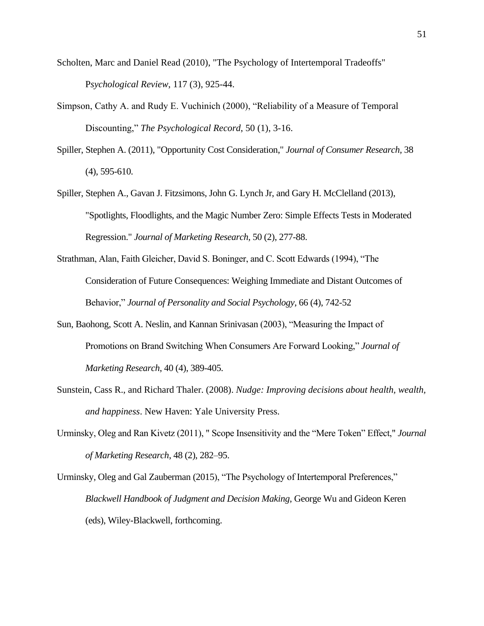- Scholten, Marc and Daniel Read (2010), "The Psychology of Intertemporal Tradeoffs" P*sychological Review*, 117 (3), 925-44.
- Simpson, Cathy A. and Rudy E. Vuchinich (2000), "Reliability of a Measure of Temporal Discounting," *The Psychological Record*, 50 (1), 3-16.
- Spiller, Stephen A. (2011), "Opportunity Cost Consideration," *Journal of Consumer Research,* 38 (4), 595-610.
- Spiller, Stephen A., Gavan J. Fitzsimons, John G. Lynch Jr, and Gary H. McClelland (2013), "Spotlights, Floodlights, and the Magic Number Zero: Simple Effects Tests in Moderated Regression." *Journal of Marketing Research,* 50 (2), 277-88.
- Strathman, Alan, Faith Gleicher, David S. Boninger, and C. Scott Edwards (1994), "The Consideration of Future Consequences: Weighing Immediate and Distant Outcomes of Behavior," *Journal of Personality and Social Psychology*, 66 (4), 742-52
- Sun, Baohong, Scott A. Neslin, and Kannan Srinivasan (2003), "Measuring the Impact of Promotions on Brand Switching When Consumers Are Forward Looking," *Journal of Marketing Research*, 40 (4), 389-405.
- Sunstein, Cass R., and Richard Thaler. (2008). *Nudge: Improving decisions about health, wealth, and happiness*. New Haven: Yale University Press.
- Urminsky, Oleg and Ran Kivetz (2011), " Scope Insensitivity and the "Mere Token" Effect," *Journal of Marketing Research*, 48 (2), 282–95.
- Urminsky, Oleg and Gal Zauberman (2015), "The Psychology of Intertemporal Preferences," *Blackwell Handbook of Judgment and Decision Making*, George Wu and Gideon Keren (eds), Wiley-Blackwell, forthcoming.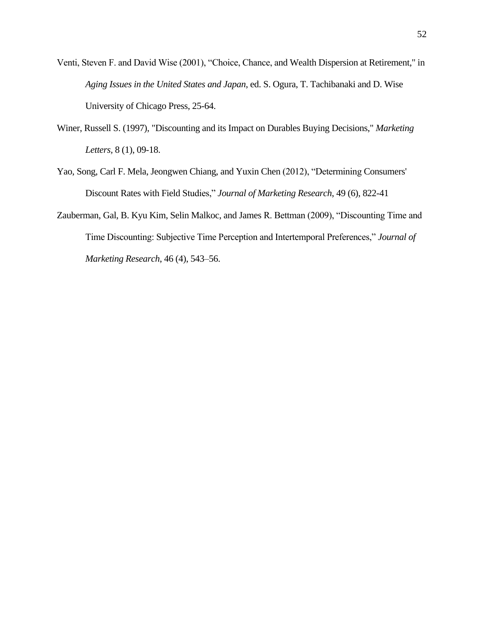- Venti, Steven F. and David Wise (2001), "Choice, Chance, and Wealth Dispersion at Retirement," in *Aging Issues in the United States and Japan*, ed. S. Ogura, T. Tachibanaki and D. Wise University of Chicago Press, 25-64.
- Winer, Russell S. (1997), "Discounting and its Impact on Durables Buying Decisions," *Marketing Letters,* 8 (1), 09-18.
- Yao, Song, Carl F. Mela, Jeongwen Chiang, and Yuxin Chen (2012), "Determining Consumers' Discount Rates with Field Studies," *Journal of Marketing Research*, 49 (6), 822-41
- Zauberman, Gal, B. Kyu Kim, Selin Malkoc, and James R. Bettman (2009), "Discounting Time and Time Discounting: Subjective Time Perception and Intertemporal Preferences," *Journal of Marketing Research*, 46 (4), 543–56.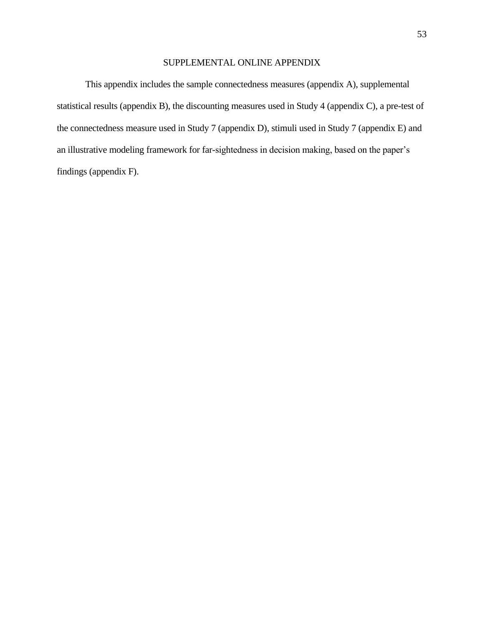## SUPPLEMENTAL ONLINE APPENDIX

This appendix includes the sample connectedness measures (appendix A), supplemental statistical results (appendix B), the discounting measures used in Study 4 (appendix C), a pre-test of the connectedness measure used in Study 7 (appendix D), stimuli used in Study 7 (appendix E) and an illustrative modeling framework for far-sightedness in decision making, based on the paper's findings (appendix F).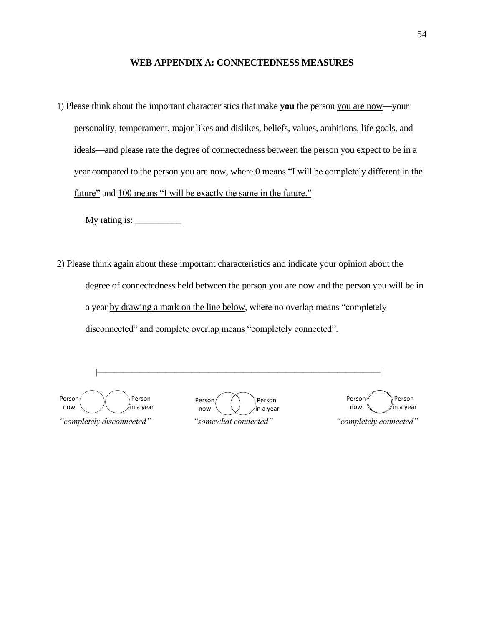#### **WEB APPENDIX A: CONNECTEDNESS MEASURES**

1) Please think about the important characteristics that make **you** the person you are now—your personality, temperament, major likes and dislikes, beliefs, values, ambitions, life goals, and ideals—and please rate the degree of connectedness between the person you expect to be in a year compared to the person you are now, where <u>0 means</u> "I will be completely different in the future" and 100 means "I will be exactly the same in the future."

My rating is:  $\qquad \qquad$ 

2) Please think again about these important characteristics and indicate your opinion about the degree of connectedness held between the person you are now and the person you will be in a year by drawing a mark on the line below, where no overlap means "completely disconnected" and complete overlap means "completely connected".

 |—————————————————————————————————| *"completely disconnected" "somewhat connected" "completely connected"* Person now Person in a year Person now Person in a year Person now Person in a year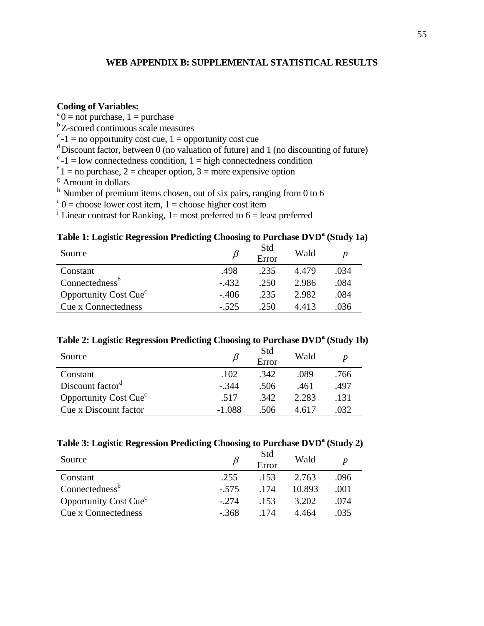## **WEB APPENDIX B: SUPPLEMENTAL STATISTICAL RESULTS**

## **Coding of Variables:**

 $a<sup>a</sup>0$  = not purchase, 1 = purchase <sup>b</sup>Z-scored continuous scale measures  $c - 1$  = no opportunity cost cue, 1 = opportunity cost cue  $\alpha$ <sup>d</sup> Discount factor, between 0 (no valuation of future) and 1 (no discounting of future)  $e<sup>e</sup>$ -1 = low connectedness condition, 1 = high connectedness condition  $f_1$  = no purchase, 2 = cheaper option, 3 = more expensive option <sup>g</sup> Amount in dollars  $h$  Number of premium items chosen, out of six pairs, ranging from 0 to 6  $i=0$  = choose lower cost item, 1 = choose higher cost item <sup>j</sup> Linear contrast for Ranking, 1= most preferred to 6 = least preferred

# **Table 1: Logistic Regression Predicting Choosing to Purchase DVD<sup>a</sup> (Study 1a)**

| Source                                  | B       | Std<br>Error | Wald  |      |
|-----------------------------------------|---------|--------------|-------|------|
| Constant                                | .498    | .235         | 4.479 | .034 |
| Connectedness <sup>b</sup>              | $-432$  | .250         | 2.986 | .084 |
| <b>Opportunity Cost Cue<sup>c</sup></b> | $-.406$ | .235         | 2.982 | .084 |
| <b>Cue x Connectedness</b>              | $-.525$ | .250         | 4413  | .036 |

## **Table 2: Logistic Regression Predicting Choosing to Purchase DVD<sup>a</sup> (Study 1b)**

| Source                                  |          | Std<br>Error | Wald  |      |
|-----------------------------------------|----------|--------------|-------|------|
| Constant                                | .102     | .342         | .089  | .766 |
| Discount factor <sup>d</sup>            | $-344$   | .506         | .461  | .497 |
| <b>Opportunity Cost Cue<sup>c</sup></b> | .517     | .342         | 2.283 | .131 |
| Cue x Discount factor                   | $-1.088$ | .506         | 4.617 | 032  |

## **Table 3: Logistic Regression Predicting Choosing to Purchase DVD<sup>a</sup> (Study 2)**

| Source                                  | B       | Std<br>Error | Wald   |      |
|-----------------------------------------|---------|--------------|--------|------|
| Constant                                | .255    | .153         | 2.763  | .096 |
| Connectedness <sup>b</sup>              | $-.575$ | 174          | 10.893 | .001 |
| <b>Opportunity Cost Cue<sup>c</sup></b> | $-274$  | .153         | 3.202  | .074 |
| Cue x Connectedness                     | $-.368$ | -174         | 4.464  | .035 |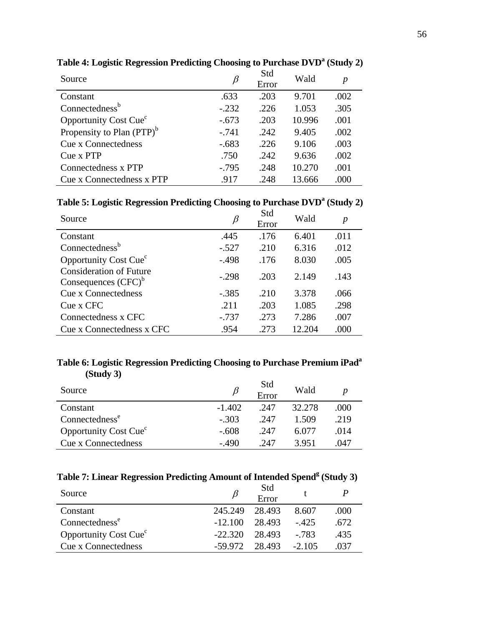| Source                                | β       | Std<br>Error | Wald   | p    |
|---------------------------------------|---------|--------------|--------|------|
| Constant                              | .633    | .203         | 9.701  | .002 |
| Connectedness <sup>b</sup>            | $-.232$ | .226         | 1.053  | .305 |
| Opportunity Cost Cue <sup>c</sup>     | $-.673$ | .203         | 10.996 | .001 |
| Propensity to Plan (PTP) <sup>b</sup> | $-.741$ | .242         | 9.405  | .002 |
| <b>Cue x Connectedness</b>            | $-.683$ | .226         | 9.106  | .003 |
| Cue x PTP                             | .750    | .242         | 9.636  | .002 |
| Connectedness x PTP                   | $-.795$ | .248         | 10.270 | .001 |
| Cue x Connectedness x PTP             | .917    | .248         | 13.666 | .000 |

**Table 4: Logistic Regression Predicting Choosing to Purchase DVD<sup>a</sup> (Study 2)** 

**Table 5: Logistic Regression Predicting Choosing to Purchase DVD<sup>a</sup> (Study 2)** 

| Source                                                   | β       | Std<br>Error | Wald   | $\boldsymbol{p}$ |
|----------------------------------------------------------|---------|--------------|--------|------------------|
| Constant                                                 | .445    | .176         | 6.401  | .011             |
| Connectedness <sup>b</sup>                               | $-.527$ | .210         | 6.316  | .012             |
| Opportunity Cost Cue <sup>c</sup>                        | $-.498$ | .176         | 8.030  | .005             |
| <b>Consideration of Future</b><br>Consequences $(CFC)^b$ | $-.298$ | .203         | 2.149  | .143             |
| <b>Cue x Connectedness</b>                               | $-.385$ | .210         | 3.378  | .066             |
| Cue x CFC                                                | .211    | .203         | 1.085  | .298             |
| Connectedness x CFC                                      | $-.737$ | .273         | 7.286  | .007             |
| Cue x Connectedness x CFC                                | .954    | .273         | 12.204 | .000             |

## **Table 6: Logistic Regression Predicting Choosing to Purchase Premium iPad<sup>a</sup> (Study 3)**

| Source                                  |          | Std<br>Error | Wald   |      |
|-----------------------------------------|----------|--------------|--------|------|
| Constant                                | $-1.402$ | .247         | 32.278 | .000 |
| Connectedness <sup>e</sup>              | $-.303$  | .247         | 1.509  | .219 |
| <b>Opportunity Cost Cue<sup>c</sup></b> | $-.608$  | .247         | 6.077  | .014 |
| Cue x Connectedness                     | $-490$   | 247          | 3.951  | .047 |

## **Table 7: Linear Regression Predicting Amount of Intended Spend<sup>g</sup> (Study 3)**

| Source                                  |           | Std<br>Error |          |       |
|-----------------------------------------|-----------|--------------|----------|-------|
| Constant                                | 245.249   | 28.493       | 8.607    | .000  |
| Connectedness <sup>e</sup>              | $-12.100$ | 28.493       | $-425$   | .672. |
| <b>Opportunity Cost Cue<sup>c</sup></b> | $-22.320$ | 28.493       | - 783    | .435  |
| <b>Cue x Connectedness</b>              | $-59.972$ | 28.493       | $-2.105$ | .037  |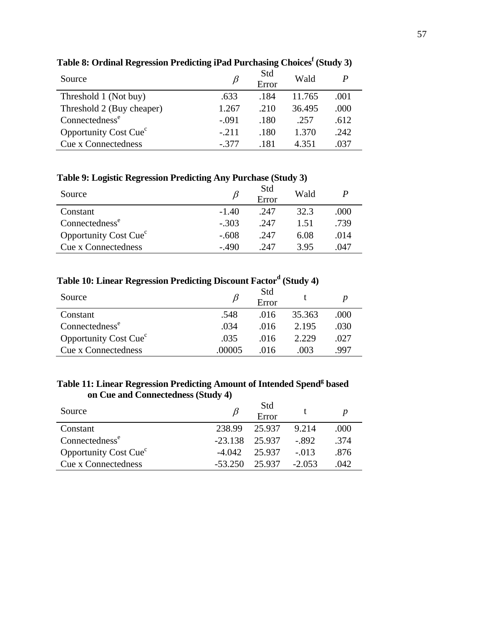| Source                                  |         | Std<br>Error | Wald   |       |
|-----------------------------------------|---------|--------------|--------|-------|
| Threshold 1 (Not buy)                   | .633    | .184         | 11.765 | .001  |
| Threshold 2 (Buy cheaper)               | 1.267   | .210         | 36.495 | .000  |
| Connectedness <sup>e</sup>              | $-.091$ | .180         | -257   | .612  |
| <b>Opportunity Cost Cue<sup>c</sup></b> | $-211$  | .180         | 1.370  | .242. |
| Cue x Connectedness                     | $-377$  | .181         | 4 351  | .037  |

## **Table 8: Ordinal Regression Predicting iPad Purchasing Choices<sup>f</sup> (Study 3)**

## **Table 9: Logistic Regression Predicting Any Purchase (Study 3)**

| Source                                   |         | Std<br>Error | Wald |      |
|------------------------------------------|---------|--------------|------|------|
| Constant                                 | $-1.40$ | .247         | 32.3 | .000 |
| Connectedness <sup>e</sup>               | $-.303$ | .247         | 151  | .739 |
| <b>Opportunity Cost Cue</b> <sup>c</sup> | $-.608$ | .247         | 6.08 | .014 |
| Cue x Connectedness                      | $-490$  | 247          | 395  | .047 |

## **Table 10: Linear Regression Predicting Discount Factor<sup>d</sup> (Study 4)**

| Source                            |        | Std<br>Error |        |      |
|-----------------------------------|--------|--------------|--------|------|
| Constant                          | .548   | .016         | 35.363 | .000 |
| Connectedness <sup>e</sup>        | .034   | .016         | 2.195  | .030 |
| Opportunity Cost Cue <sup>c</sup> | .035   | .016         | 2.229  | .027 |
| <b>Cue x Connectedness</b>        | .00005 | (116)        | (10)3  | .997 |

## **Table 11: Linear Regression Predicting Amount of Intended Spend<sup>g</sup> based on Cue and Connectedness (Study 4)**

| Source                            |                    | Std<br>Error |          |      |
|-----------------------------------|--------------------|--------------|----------|------|
| Constant                          | 238.99             | 25.937       | 9.214    | .000 |
| Connectedness <sup>e</sup>        | $-23.138$ $25.937$ |              | - 892    | .374 |
| Opportunity Cost Cue <sup>c</sup> | $-4.042$           | 25.937       | $-013$   | .876 |
| Cue x Connectedness               | $-53.250$          | 25.937       | $-2.053$ | .042 |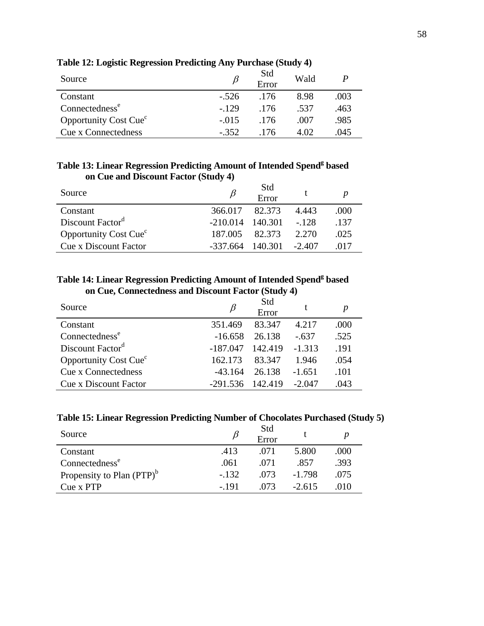| Source                            |         | Std<br>Error | Wald  |      |
|-----------------------------------|---------|--------------|-------|------|
| Constant                          | $-.526$ | .176         | 8.98  | .003 |
| Connectedness <sup>e</sup>        | $-129$  | .176         | -537  | .463 |
| Opportunity Cost Cue <sup>c</sup> | $-.015$ | 176          | .007  | .985 |
| Cue x Connectedness               | $-352$  | -176         | 4. OQ | .045 |

**Table 12: Logistic Regression Predicting Any Purchase (Study 4)**

## **Table 13: Linear Regression Predicting Amount of Intended Spend<sup>g</sup> based on Cue and Discount Factor (Study 4)**

| Source                                  |                             | Std<br>Error   |       |        |
|-----------------------------------------|-----------------------------|----------------|-------|--------|
| Constant                                | 366.017                     | 82.373         | 4.443 | .000   |
| Discount Factor <sup>d</sup>            | $-210.014$ $140.301$ $-128$ |                |       | $-137$ |
| <b>Opportunity Cost Cue<sup>c</sup></b> | 187.005                     | 82.373         | 2.270 | .025   |
| <b>Cue x Discount Factor</b>            | $-337.664$                  | 140.301 -2.407 |       | -017   |

## **Table 14: Linear Regression Predicting Amount of Intended Spend<sup>g</sup> based on Cue, Connectedness and Discount Factor (Study 4)**

| Source                            |            | Std<br>Error |          |      |
|-----------------------------------|------------|--------------|----------|------|
| Constant                          | 351.469    | 83.347       | 4.217    | .000 |
| Connectedness <sup>e</sup>        | $-16.658$  | 26.138       | $-637$   | .525 |
| Discount Factor <sup>d</sup>      | -187.047   | 142.419      | $-1.313$ | .191 |
| Opportunity Cost Cue <sup>c</sup> | 162.173    | 83.347       | 1.946    | .054 |
| <b>Cue x Connectedness</b>        | $-43.164$  | 26.138       | $-1.651$ | .101 |
| <b>Cue x Discount Factor</b>      | $-291.536$ | 142.419      | $-2.047$ | .043 |

## **Table 15: Linear Regression Predicting Number of Chocolates Purchased (Study 5)**

| Source                                |         | Std<br>Error |          |      |
|---------------------------------------|---------|--------------|----------|------|
| Constant                              | .413    | .071         | 5.800    | .000 |
| Connectedness <sup>e</sup>            | .061    | .071         | .857     | .393 |
| Propensity to Plan (PTP) <sup>b</sup> | $-.132$ | .073         | $-1.798$ | .075 |
| Cue x PTP                             | $-191$  | 073          | $-2.615$ | .010 |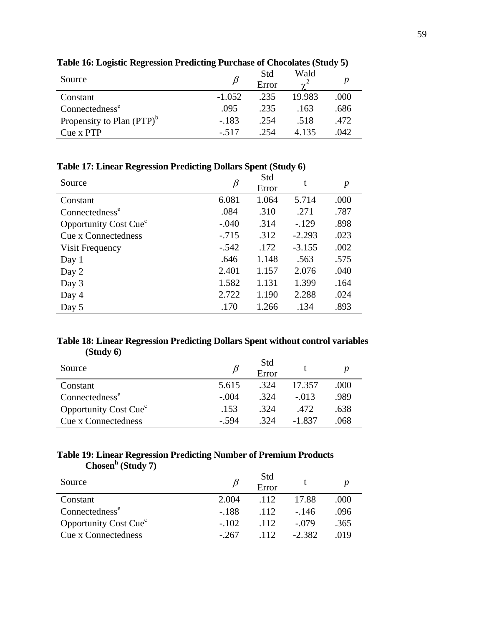| Source                                |          | Std<br>Error | Wald<br>$\gamma^*$ |      |
|---------------------------------------|----------|--------------|--------------------|------|
| Constant                              | $-1.052$ | .235         | 19.983             | .000 |
| Connectedness <sup>e</sup>            | .095     | .235         | .163               | .686 |
| Propensity to Plan (PTP) <sup>b</sup> | $-.183$  | .254         | .518               | .472 |
| Cue x PTP                             | $-.517$  | 254          | 4.135              | .042 |

**Table 16: Logistic Regression Predicting Purchase of Chocolates (Study 5)**

**Table 17: Linear Regression Predicting Dollars Spent (Study 6)**

| Source                            | β       | Std<br>Error | t        | $\boldsymbol{p}$ |
|-----------------------------------|---------|--------------|----------|------------------|
| Constant                          | 6.081   | 1.064        | 5.714    | .000             |
| Connectedness <sup>e</sup>        | .084    | .310         | .271     | .787             |
| Opportunity Cost Cue <sup>c</sup> | $-.040$ | .314         | $-.129$  | .898             |
| <b>Cue x Connectedness</b>        | $-.715$ | .312         | $-2.293$ | .023             |
| Visit Frequency                   | $-.542$ | .172         | $-3.155$ | .002             |
| Day 1                             | .646    | 1.148        | .563     | .575             |
| Day 2                             | 2.401   | 1.157        | 2.076    | .040             |
| Day 3                             | 1.582   | 1.131        | 1.399    | .164             |
| Day 4                             | 2.722   | 1.190        | 2.288    | .024             |
| Day 5                             | .170    | 1.266        | .134     | .893             |

## **Table 18: Linear Regression Predicting Dollars Spent without control variables (Study 6)**

| Source                                  |         | Std<br>Error |         |      |
|-----------------------------------------|---------|--------------|---------|------|
| Constant                                | 5.615   | $-324$       | 17.357  | .000 |
| Connectedness <sup>e</sup>              | $-.004$ | -324         | $-.013$ | .989 |
| <b>Opportunity Cost Cue<sup>c</sup></b> | .153    | -324         | .472    | .638 |
| <b>Cue x Connectedness</b>              | - 594   | 324          | -1.837  | .068 |

### **Table 19: Linear Regression Predicting Number of Premium Products Chosen<sup>h</sup> (Study 7)**

| Source                                  |         | Std<br>Error      |          |      |
|-----------------------------------------|---------|-------------------|----------|------|
| Constant                                | 2.004   | .112              | 17.88    | .000 |
| Connectedness <sup>e</sup>              | $-.188$ | $\overline{.112}$ | $-146$   | .096 |
| <b>Opportunity Cost Cue<sup>c</sup></b> | $-102$  | .112.             | $-079$   | .365 |
| Cue x Connectedness                     | $-267$  | 112               | $-2.382$ | .019 |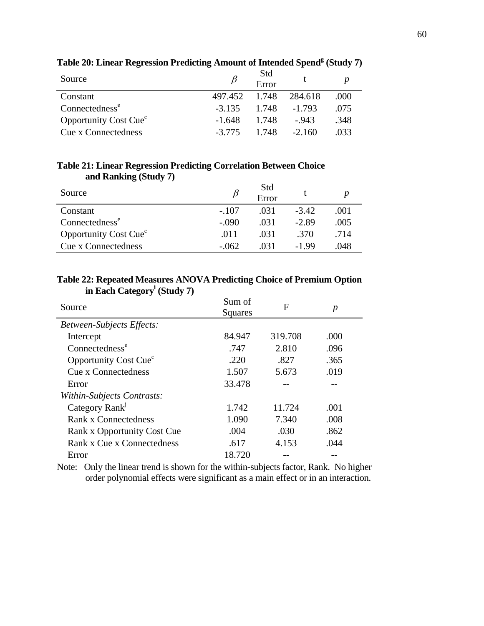| Source                            |               | Std<br>Error |          |      |
|-----------------------------------|---------------|--------------|----------|------|
| Constant                          | 497.452 1.748 |              | 284.618  | .000 |
| Connectedness <sup>e</sup>        | $-3.135$      | 1.748        | $-1.793$ | .075 |
| Opportunity Cost Cue <sup>c</sup> | $-1.648$      | 1.748        | $-943$   | .348 |
| Cue x Connectedness               | $-3.775$      | 1 748        | $-2.160$ | 033  |

## **Table 20: Linear Regression Predicting Amount of Intended Spend<sup>g</sup> (Study 7)**

## **Table 21: Linear Regression Predicting Correlation Between Choice and Ranking (Study 7)**

| Source                                  |         | Std<br>Error |         |      |
|-----------------------------------------|---------|--------------|---------|------|
| Constant                                | $-.107$ | .031         | $-3.42$ | .001 |
| Connectedness <sup>e</sup>              | $-.090$ | .031         | $-2.89$ | .005 |
| <b>Opportunity Cost Cue<sup>c</sup></b> | .011    | .031         | .370    | .714 |
| <b>Cue x Connectedness</b>              | $-.062$ | 031          | $-1.99$ | .048 |

## **Table 22: Repeated Measures ANOVA Predicting Choice of Premium Option in Each Category<sup>i</sup> (Study 7)**

| Source                            | Sum of<br>Squares | F       | p    |  |
|-----------------------------------|-------------------|---------|------|--|
| <b>Between-Subjects Effects:</b>  |                   |         |      |  |
| Intercept                         | 84.947            | 319.708 | .000 |  |
| Connectedness <sup>e</sup>        | .747              | 2.810   | .096 |  |
| Opportunity Cost Cue <sup>c</sup> | .220              | .827    | .365 |  |
| Cue x Connectedness               | 1.507             | 5.673   | .019 |  |
| Error                             | 33.478            |         |      |  |
| Within-Subjects Contrasts:        |                   |         |      |  |
| Category Rank <sup>J</sup>        | 1.742             | 11.724  | .001 |  |
| <b>Rank x Connectedness</b>       | 1.090             | 7.340   | .008 |  |
| Rank x Opportunity Cost Cue       | .004              | .030    | .862 |  |
| Rank x Cue x Connectedness        | .617              | 4.153   | .044 |  |
| Error                             | 18.720            |         |      |  |

Note: Only the linear trend is shown for the within-subjects factor, Rank. No higher order polynomial effects were significant as a main effect or in an interaction.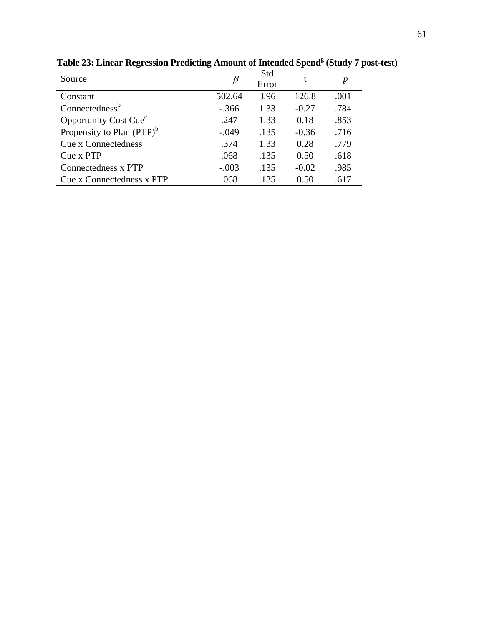| Source                                | B       | Std<br>Error | t       | p    |
|---------------------------------------|---------|--------------|---------|------|
| Constant                              | 502.64  | 3.96         | 126.8   | .001 |
| Connectedness <sup>b</sup>            | $-.366$ | 1.33         | $-0.27$ | .784 |
| Opportunity Cost Cue <sup>c</sup>     | .247    | 1.33         | 0.18    | .853 |
| Propensity to Plan (PTP) <sup>b</sup> | $-.049$ | .135         | $-0.36$ | .716 |
| <b>Cue x Connectedness</b>            | .374    | 1.33         | 0.28    | .779 |
| Cue x PTP                             | .068    | .135         | 0.50    | .618 |
| Connectedness x PTP                   | $-.003$ | .135         | $-0.02$ | .985 |
| Cue x Connectedness x PTP             | .068    | .135         | 0.50    | .617 |

**Table 23: Linear Regression Predicting Amount of Intended Spend<sup>g</sup> (Study 7 post-test)**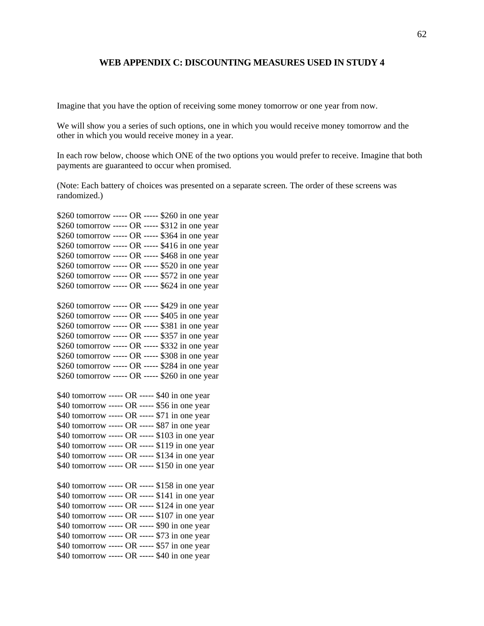#### **WEB APPENDIX C: DISCOUNTING MEASURES USED IN STUDY 4**

Imagine that you have the option of receiving some money tomorrow or one year from now.

We will show you a series of such options, one in which you would receive money tomorrow and the other in which you would receive money in a year.

In each row below, choose which ONE of the two options you would prefer to receive. Imagine that both payments are guaranteed to occur when promised.

(Note: Each battery of choices was presented on a separate screen. The order of these screens was randomized.)

\$260 tomorrow ----- OR ----- \$260 in one year \$260 tomorrow ----- OR ----- \$312 in one year \$260 tomorrow ----- OR ----- \$364 in one year \$260 tomorrow ----- OR ----- \$416 in one year \$260 tomorrow ----- OR ----- \$468 in one year \$260 tomorrow ----- OR ----- \$520 in one year \$260 tomorrow ----- OR ----- \$572 in one year \$260 tomorrow ----- OR ----- \$624 in one year \$260 tomorrow ----- OR ----- \$429 in one year \$260 tomorrow ----- OR ----- \$405 in one year \$260 tomorrow ----- OR ----- \$381 in one year \$260 tomorrow ----- OR ----- \$357 in one year \$260 tomorrow ----- OR ----- \$332 in one year \$260 tomorrow ----- OR ----- \$308 in one year \$260 tomorrow ----- OR ----- \$284 in one year \$260 tomorrow ----- OR ----- \$260 in one year \$40 tomorrow ----- OR ----- \$40 in one year \$40 tomorrow ----- OR ----- \$56 in one year \$40 tomorrow ----- OR ----- \$71 in one year \$40 tomorrow ----- OR ----- \$87 in one year \$40 tomorrow ----- OR ----- \$103 in one year \$40 tomorrow ----- OR ----- \$119 in one year \$40 tomorrow ----- OR ----- \$134 in one year \$40 tomorrow ----- OR ----- \$150 in one year \$40 tomorrow ----- OR ----- \$158 in one year \$40 tomorrow ----- OR ----- \$141 in one year \$40 tomorrow ----- OR ----- \$124 in one year \$40 tomorrow ----- OR ----- \$107 in one year \$40 tomorrow ----- OR ----- \$90 in one year \$40 tomorrow ----- OR ----- \$73 in one year \$40 tomorrow ----- OR ----- \$57 in one year \$40 tomorrow ----- OR ----- \$40 in one year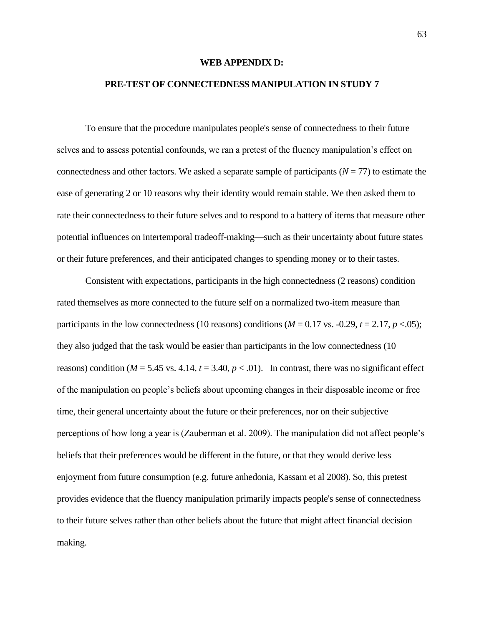#### **WEB APPENDIX D:**

### **PRE-TEST OF CONNECTEDNESS MANIPULATION IN STUDY 7**

To ensure that the procedure manipulates people's sense of connectedness to their future selves and to assess potential confounds, we ran a pretest of the fluency manipulation's effect on connectedness and other factors. We asked a separate sample of participants (*N* = 77) to estimate the ease of generating 2 or 10 reasons why their identity would remain stable. We then asked them to rate their connectedness to their future selves and to respond to a battery of items that measure other potential influences on intertemporal tradeoff-making—such as their uncertainty about future states or their future preferences, and their anticipated changes to spending money or to their tastes.

Consistent with expectations, participants in the high connectedness (2 reasons) condition rated themselves as more connected to the future self on a normalized two-item measure than participants in the low connectedness (10 reasons) conditions ( $M = 0.17$  vs.  $-0.29$ ,  $t = 2.17$ ,  $p < .05$ ); they also judged that the task would be easier than participants in the low connectedness (10 reasons) condition ( $M = 5.45$  vs. 4.14,  $t = 3.40$ ,  $p < .01$ ). In contrast, there was no significant effect of the manipulation on people's beliefs about upcoming changes in their disposable income or free time, their general uncertainty about the future or their preferences, nor on their subjective perceptions of how long a year is (Zauberman et al. 2009). The manipulation did not affect people's beliefs that their preferences would be different in the future, or that they would derive less enjoyment from future consumption (e.g. future anhedonia, Kassam et al 2008). So, this pretest provides evidence that the fluency manipulation primarily impacts people's sense of connectedness to their future selves rather than other beliefs about the future that might affect financial decision making.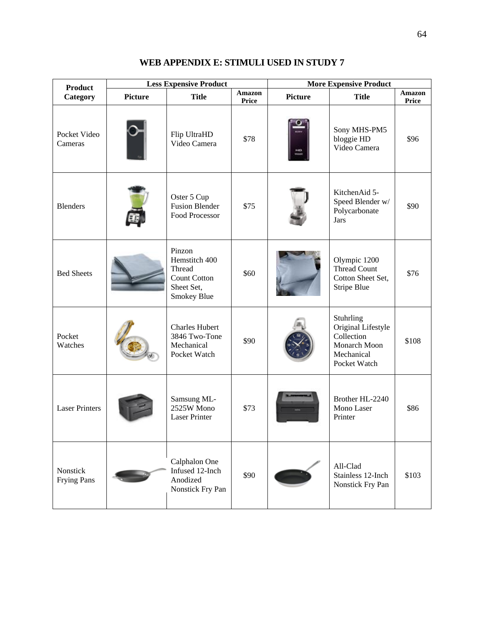| <b>Product</b>                 |                | <b>Less Expensive Product</b>                                                         |                        |                | <b>More Expensive Product</b>                                                               |                        |
|--------------------------------|----------------|---------------------------------------------------------------------------------------|------------------------|----------------|---------------------------------------------------------------------------------------------|------------------------|
| Category                       | <b>Picture</b> | <b>Title</b>                                                                          | <b>Amazon</b><br>Price | <b>Picture</b> | <b>Title</b>                                                                                | Amazon<br><b>Price</b> |
| Pocket Video<br>Cameras        |                | Flip UltraHD<br>Video Camera                                                          | \$78                   | HO             | Sony MHS-PM5<br>bloggie HD<br>Video Camera                                                  | \$96                   |
| <b>Blenders</b>                |                | Oster 5 Cup<br><b>Fusion Blender</b><br>Food Processor                                | \$75                   |                | KitchenAid 5-<br>Speed Blender w/<br>Polycarbonate<br><b>Jars</b>                           | \$90                   |
| <b>Bed Sheets</b>              |                | Pinzon<br>Hemstitch 400<br>Thread<br><b>Count Cotton</b><br>Sheet Set,<br>Smokey Blue | \$60                   |                | Olympic 1200<br>Thread Count<br>Cotton Sheet Set,<br><b>Stripe Blue</b>                     | \$76                   |
| Pocket<br>Watches              |                | <b>Charles Hubert</b><br>3846 Two-Tone<br>Mechanical<br>Pocket Watch                  | \$90                   |                | Stuhrling<br>Original Lifestyle<br>Collection<br>Monarch Moon<br>Mechanical<br>Pocket Watch | \$108                  |
| <b>Laser Printers</b>          |                | Samsung ML-<br>2525W Mono<br><b>Laser Printer</b>                                     | \$73                   |                | Brother HL-2240<br>Mono Laser<br>Printer                                                    | \$86                   |
| Nonstick<br><b>Frying Pans</b> |                | Calphalon One<br>Infused 12-Inch<br>Anodized<br>Nonstick Fry Pan                      | \$90                   |                | All-Clad<br>Stainless 12-Inch<br>Nonstick Fry Pan                                           | \$103                  |

## **WEB APPENDIX E: STIMULI USED IN STUDY 7**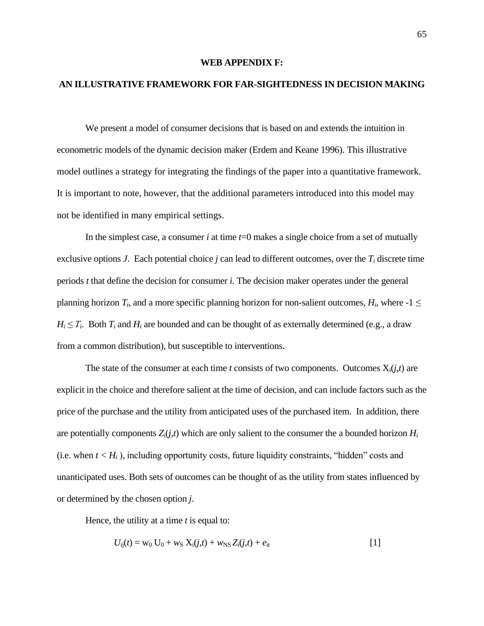#### **WEB APPENDIX F:**

## **AN ILLUSTRATIVE FRAMEWORK FOR FAR-SIGHTEDNESS IN DECISION MAKING**

We present a model of consumer decisions that is based on and extends the intuition in econometric models of the dynamic decision maker (Erdem and Keane 1996). This illustrative model outlines a strategy for integrating the findings of the paper into a quantitative framework. It is important to note, however, that the additional parameters introduced into this model may not be identified in many empirical settings.

In the simplest case, a consumer *i* at time *t*=0 makes a single choice from a set of mutually exclusive options *J*. Each potential choice *j* can lead to different outcomes, over the  $T_i$  discrete time periods *t* that define the decision for consumer *i*. The decision maker operates under the general planning horizon  $T_i$ , and a more specific planning horizon for non-salient outcomes,  $H_i$ , where  $-1 \leq$  $H_i \leq T_i$ . Both  $T_i$  and  $H_i$  are bounded and can be thought of as externally determined (e.g., a draw from a common distribution), but susceptible to interventions.

The state of the consumer at each time *t* consists of two components. Outcomes  $X_i(i,t)$  are explicit in the choice and therefore salient at the time of decision, and can include factors such as the price of the purchase and the utility from anticipated uses of the purchased item. In addition, there are potentially components  $Z_i(i,t)$  which are only salient to the consumer the a bounded horizon  $H_i$ (i.e. when  $t < H_i$ ), including opportunity costs, future liquidity constraints, "hidden" costs and unanticipated uses. Both sets of outcomes can be thought of as the utility from states influenced by or determined by the chosen option *j*.

Hence, the utility at a time *t* is equal to:

$$
U_{ij}(t) = w_0 U_0 + w_S X_i(j,t) + w_{NS} Z_i(j,t) + e_{it}
$$
\n[1]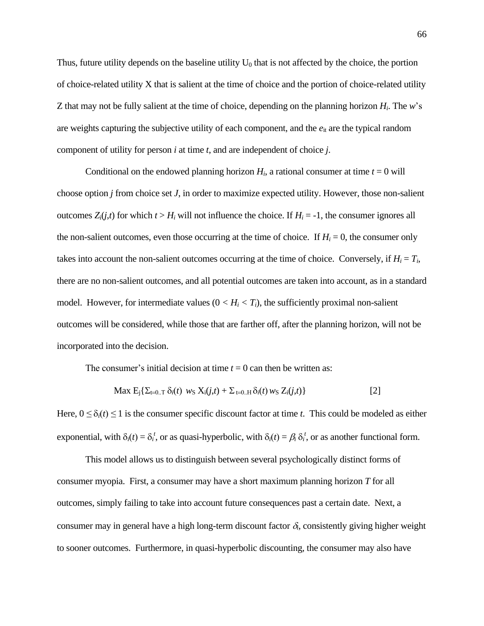Thus, future utility depends on the baseline utility  $U_0$  that is not affected by the choice, the portion of choice-related utility X that is salient at the time of choice and the portion of choice-related utility Z that may not be fully salient at the time of choice, depending on the planning horizon *H<sup>i</sup>* . The *w*'s are weights capturing the subjective utility of each component, and the  $e_{it}$  are the typical random component of utility for person *i* at time *t*, and are independent of choice *j*.

Conditional on the endowed planning horizon  $H_i$ , a rational consumer at time  $t = 0$  will choose option *j* from choice set *J*, in order to maximize expected utility. However, those non-salient outcomes  $Z_i(i,t)$  for which  $t > H_i$  will not influence the choice. If  $H_i = -1$ , the consumer ignores all the non-salient outcomes, even those occurring at the time of choice. If  $H_i = 0$ , the consumer only takes into account the non-salient outcomes occurring at the time of choice. Conversely, if  $H_i = T_i$ , there are no non-salient outcomes, and all potential outcomes are taken into account, as in a standard model. However, for intermediate values  $(0 < H_i < T_i)$ , the sufficiently proximal non-salient outcomes will be considered, while those that are farther off, after the planning horizon, will not be incorporated into the decision.

The consumer's initial decision at time  $t = 0$  can then be written as:

$$
\text{Max } E_j \{ \sum_{t=0..T} \delta_i(t) \ w_S \ X_i(j,t) + \sum_{t=0..H} \delta_i(t) \ w_S \ Z_i(j,t) \} \tag{2}
$$

Here,  $0 \leq \delta_i(t) \leq 1$  is the consumer specific discount factor at time *t*. This could be modeled as either exponential, with  $\delta_i(t) = \delta_i^t$ , or as quasi-hyperbolic, with  $\delta_i(t) = \beta_i \delta_i^t$ , or as another functional form.

This model allows us to distinguish between several psychologically distinct forms of consumer myopia. First, a consumer may have a short maximum planning horizon *T* for all outcomes, simply failing to take into account future consequences past a certain date. Next, a consumer may in general have a high long-term discount factor  $\delta_i$ , consistently giving higher weight to sooner outcomes. Furthermore, in quasi-hyperbolic discounting, the consumer may also have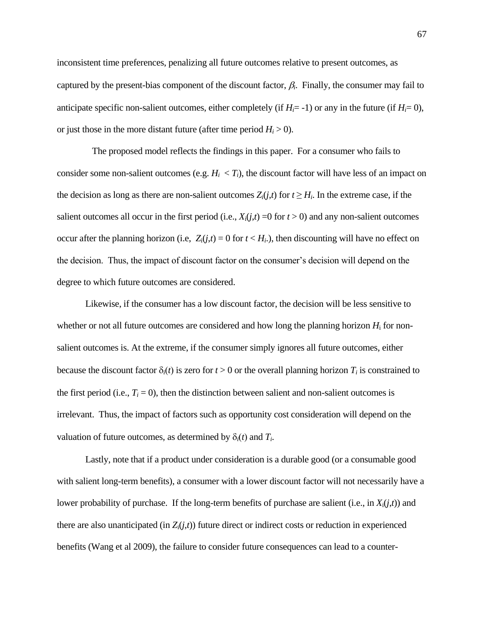inconsistent time preferences, penalizing all future outcomes relative to present outcomes, as captured by the present-bias component of the discount factor,  $\beta_i$ . Finally, the consumer may fail to anticipate specific non-salient outcomes, either completely (if  $H_i = -1$ ) or any in the future (if  $H_i = 0$ ), or just those in the more distant future (after time period  $H_i > 0$ ).

 The proposed model reflects the findings in this paper. For a consumer who fails to consider some non-salient outcomes (e.g.  $H_i < T_i$ ), the discount factor will have less of an impact on the decision as long as there are non-salient outcomes  $Z_i(j,t)$  for  $t \ge H_i$ . In the extreme case, if the salient outcomes all occur in the first period (i.e.,  $X_i(j,t) = 0$  for  $t > 0$ ) and any non-salient outcomes occur after the planning horizon (i.e,  $Z_i(j,t) = 0$  for  $t < H_i$ ), then discounting will have no effect on the decision. Thus, the impact of discount factor on the consumer's decision will depend on the degree to which future outcomes are considered.

Likewise, if the consumer has a low discount factor, the decision will be less sensitive to whether or not all future outcomes are considered and how long the planning horizon  $H_i$  for nonsalient outcomes is. At the extreme, if the consumer simply ignores all future outcomes, either because the discount factor  $\delta_i(t)$  is zero for  $t > 0$  or the overall planning horizon  $T_i$  is constrained to the first period (i.e.,  $T_i = 0$ ), then the distinction between salient and non-salient outcomes is irrelevant. Thus, the impact of factors such as opportunity cost consideration will depend on the valuation of future outcomes, as determined by  $\delta_i(t)$  and  $T_i$ .

Lastly, note that if a product under consideration is a durable good (or a consumable good with salient long-term benefits), a consumer with a lower discount factor will not necessarily have a lower probability of purchase. If the long-term benefits of purchase are salient (i.e., in  $X_i(i,t)$ ) and there are also unanticipated (in  $Z_i(j,t)$ ) future direct or indirect costs or reduction in experienced benefits (Wang et al 2009), the failure to consider future consequences can lead to a counter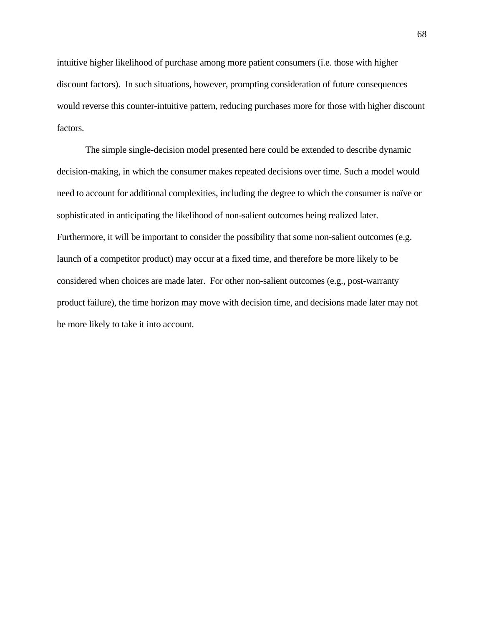intuitive higher likelihood of purchase among more patient consumers (i.e. those with higher discount factors). In such situations, however, prompting consideration of future consequences would reverse this counter-intuitive pattern, reducing purchases more for those with higher discount factors.

The simple single-decision model presented here could be extended to describe dynamic decision-making, in which the consumer makes repeated decisions over time. Such a model would need to account for additional complexities, including the degree to which the consumer is naïve or sophisticated in anticipating the likelihood of non-salient outcomes being realized later. Furthermore, it will be important to consider the possibility that some non-salient outcomes (e.g. launch of a competitor product) may occur at a fixed time, and therefore be more likely to be considered when choices are made later. For other non-salient outcomes (e.g., post-warranty product failure), the time horizon may move with decision time, and decisions made later may not be more likely to take it into account.